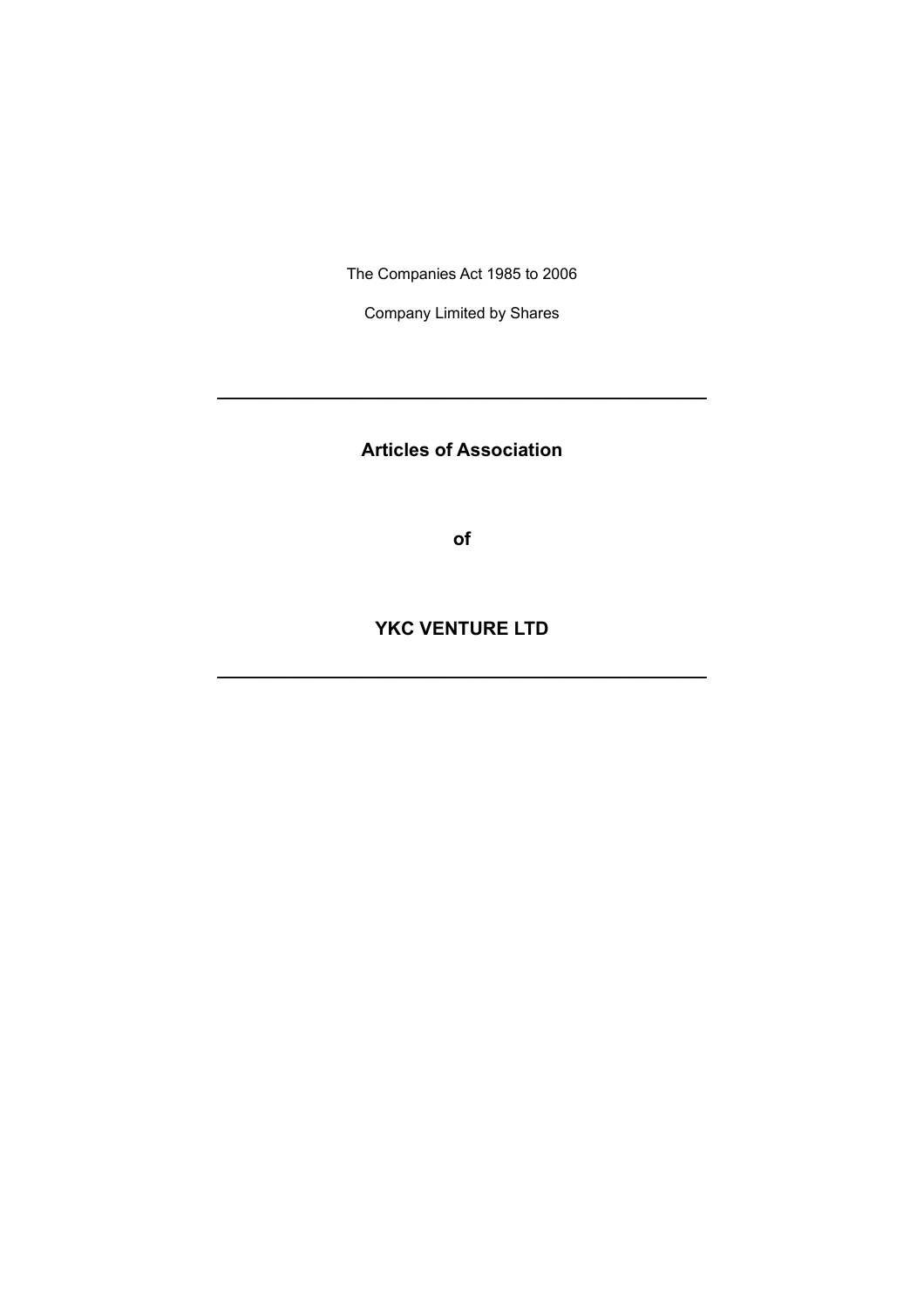The Companies Act 1985 to 2006

Company Limited by Shares

**Articles of Association**

**\_\_\_\_\_\_\_\_\_\_\_\_\_\_\_\_\_\_\_\_\_\_\_\_\_\_\_\_\_\_\_\_\_\_\_\_\_\_\_\_\_\_\_\_\_\_\_\_\_\_\_\_\_\_\_\_\_\_\_\_\_\_\_**

**of**

**YKC VENTURE LTD**

**\_\_\_\_\_\_\_\_\_\_\_\_\_\_\_\_\_\_\_\_\_\_\_\_\_\_\_\_\_\_\_\_\_\_\_\_\_\_\_\_\_\_\_\_\_\_\_\_\_\_\_\_\_\_\_\_\_\_\_\_\_\_\_**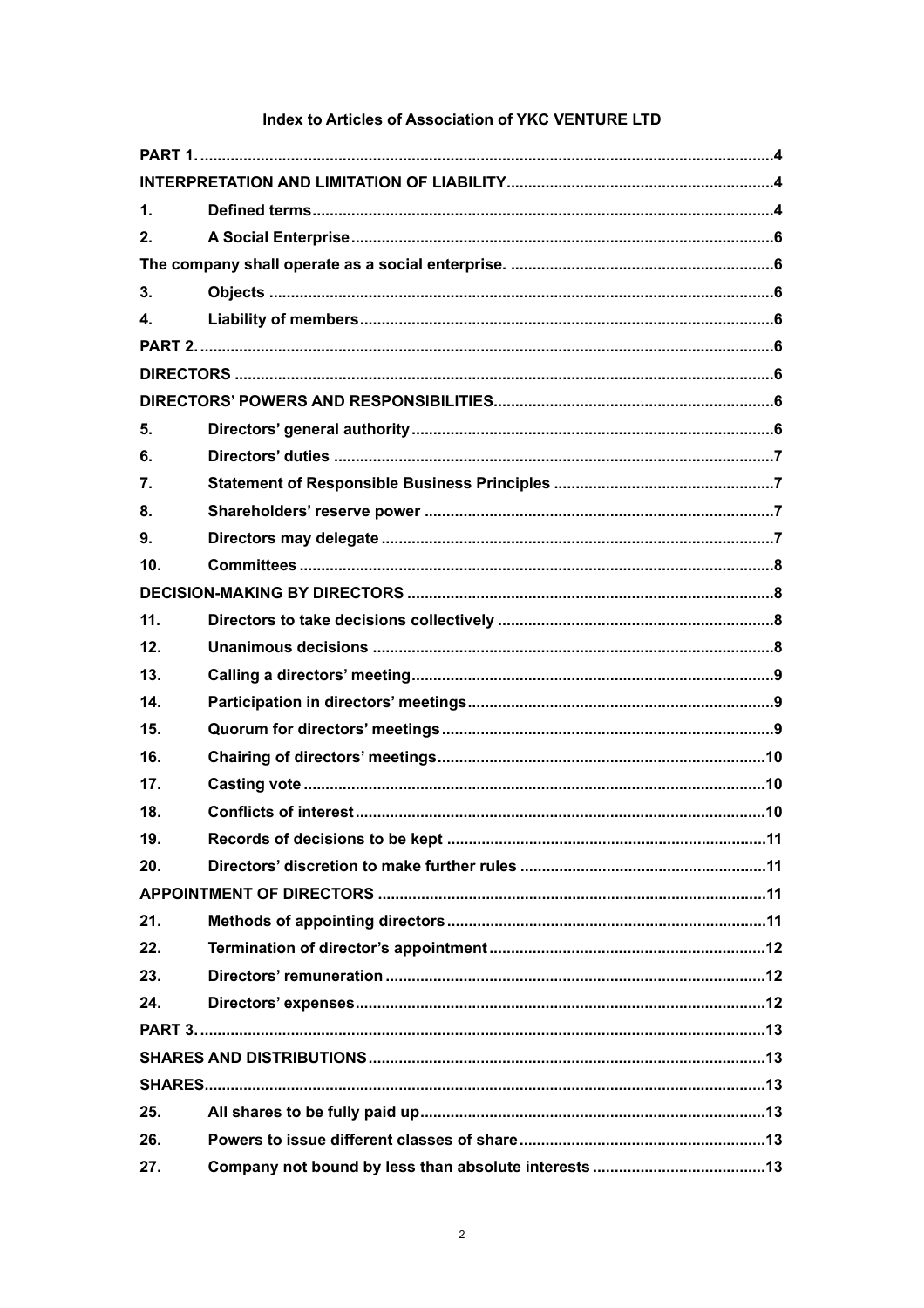# Index to Articles of Association of YKC VENTURE LTD

| 1.              |                                                         |  |  |
|-----------------|---------------------------------------------------------|--|--|
| 2.              |                                                         |  |  |
|                 |                                                         |  |  |
| 3.              |                                                         |  |  |
| 4.              |                                                         |  |  |
|                 |                                                         |  |  |
|                 |                                                         |  |  |
|                 |                                                         |  |  |
| 5.              |                                                         |  |  |
| 6.              |                                                         |  |  |
| 7.              |                                                         |  |  |
| 8.              |                                                         |  |  |
| 9.              |                                                         |  |  |
| 10 <sub>1</sub> |                                                         |  |  |
|                 |                                                         |  |  |
| 11.             |                                                         |  |  |
| 12.             |                                                         |  |  |
| 13.             |                                                         |  |  |
| 14.             |                                                         |  |  |
| 15.             |                                                         |  |  |
| 16.             |                                                         |  |  |
| 17.             |                                                         |  |  |
| 18.             | Conflicts of interest……………………………………………………………………………………10 |  |  |
| 19.             |                                                         |  |  |
| 20.             |                                                         |  |  |
|                 |                                                         |  |  |
| 21.             |                                                         |  |  |
| 22.             |                                                         |  |  |
| 23.             |                                                         |  |  |
| 24.             |                                                         |  |  |
|                 |                                                         |  |  |
|                 |                                                         |  |  |
|                 |                                                         |  |  |
| 25.             |                                                         |  |  |
| 26.             |                                                         |  |  |
| 27.             |                                                         |  |  |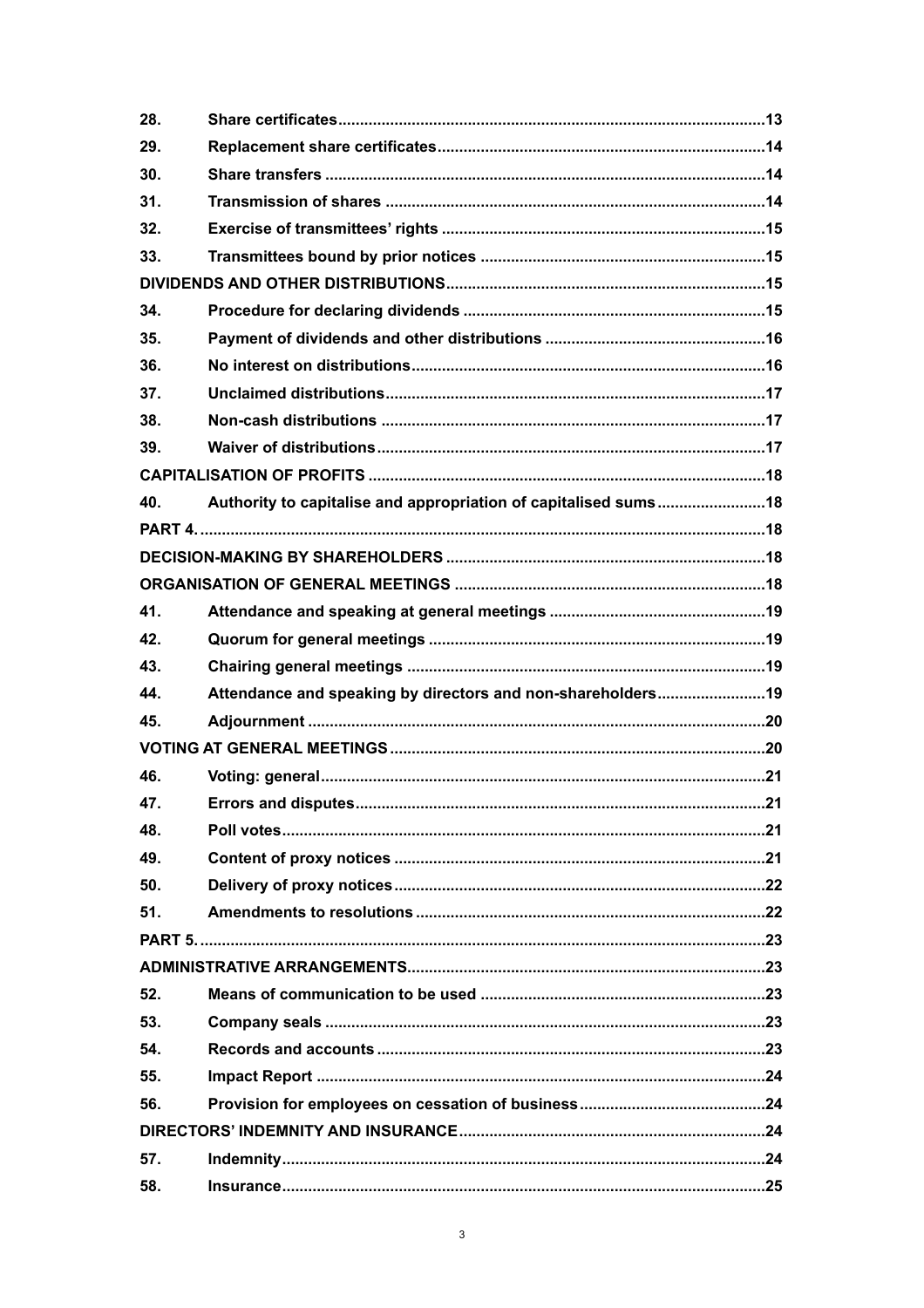| 28. |                                                                 |     |  |  |
|-----|-----------------------------------------------------------------|-----|--|--|
| 29. |                                                                 |     |  |  |
| 30. |                                                                 |     |  |  |
| 31. |                                                                 |     |  |  |
| 32. |                                                                 |     |  |  |
| 33. |                                                                 |     |  |  |
|     |                                                                 |     |  |  |
| 34. |                                                                 |     |  |  |
| 35. |                                                                 |     |  |  |
| 36. |                                                                 |     |  |  |
| 37. |                                                                 |     |  |  |
| 38. |                                                                 |     |  |  |
| 39. |                                                                 |     |  |  |
|     |                                                                 |     |  |  |
| 40. | Authority to capitalise and appropriation of capitalised sums18 |     |  |  |
|     |                                                                 |     |  |  |
|     |                                                                 |     |  |  |
|     |                                                                 |     |  |  |
| 41. |                                                                 |     |  |  |
| 42. |                                                                 |     |  |  |
| 43. |                                                                 |     |  |  |
| 44. | Attendance and speaking by directors and non-shareholders19     |     |  |  |
| 45. |                                                                 |     |  |  |
|     |                                                                 |     |  |  |
| 46. |                                                                 |     |  |  |
| 47. | Errors and disputes.                                            | .21 |  |  |
| 48. |                                                                 |     |  |  |
| 49. |                                                                 |     |  |  |
| 50. |                                                                 |     |  |  |
| 51. |                                                                 |     |  |  |
|     |                                                                 |     |  |  |
|     |                                                                 |     |  |  |
| 52. |                                                                 |     |  |  |
| 53. |                                                                 |     |  |  |
| 54. |                                                                 |     |  |  |
| 55. |                                                                 |     |  |  |
| 56. |                                                                 |     |  |  |
|     |                                                                 |     |  |  |
|     |                                                                 |     |  |  |
| 57. |                                                                 |     |  |  |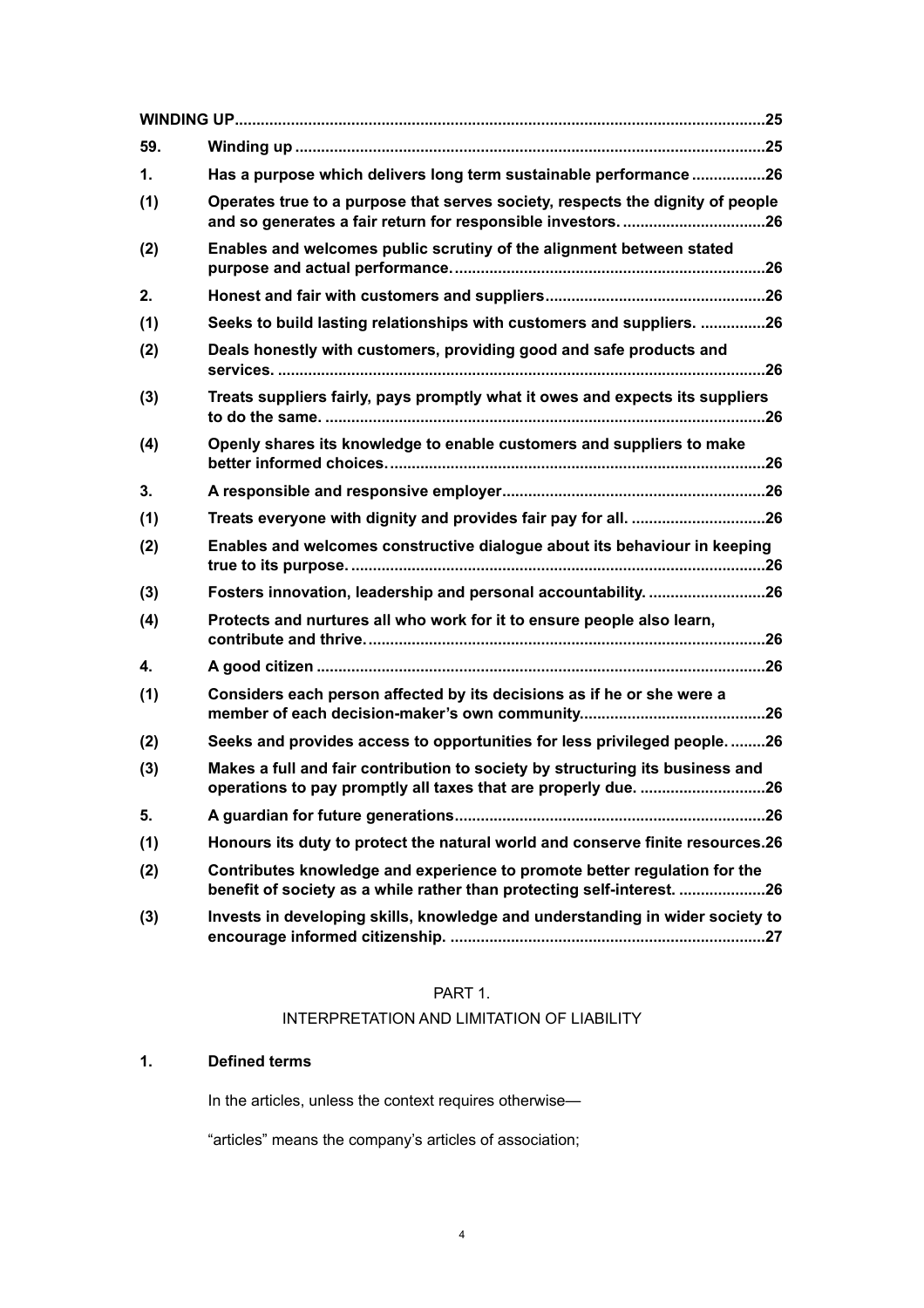| 59.           |                                                                                                                                                     |
|---------------|-----------------------------------------------------------------------------------------------------------------------------------------------------|
| $\mathbf 1$ . | Has a purpose which delivers long term sustainable performance26                                                                                    |
| (1)           | Operates true to a purpose that serves society, respects the dignity of people<br>and so generates a fair return for responsible investors26        |
| (2)           | Enables and welcomes public scrutiny of the alignment between stated                                                                                |
| 2.            |                                                                                                                                                     |
| (1)           | Seeks to build lasting relationships with customers and suppliers. 26                                                                               |
| (2)           | Deals honestly with customers, providing good and safe products and                                                                                 |
| (3)           | Treats suppliers fairly, pays promptly what it owes and expects its suppliers                                                                       |
| (4)           | Openly shares its knowledge to enable customers and suppliers to make                                                                               |
| 3.            |                                                                                                                                                     |
| (1)           | Treats everyone with dignity and provides fair pay for all. 26                                                                                      |
| (2)           | Enables and welcomes constructive dialogue about its behaviour in keeping                                                                           |
| (3)           | Fosters innovation, leadership and personal accountability. 26                                                                                      |
| (4)           | Protects and nurtures all who work for it to ensure people also learn,                                                                              |
| 4.            |                                                                                                                                                     |
| (1)           | Considers each person affected by its decisions as if he or she were a                                                                              |
| (2)           | Seeks and provides access to opportunities for less privileged people26                                                                             |
| (3)           | Makes a full and fair contribution to society by structuring its business and<br>operations to pay promptly all taxes that are properly due. 26     |
| 5.            |                                                                                                                                                     |
| (1)           | Honours its duty to protect the natural world and conserve finite resources.26                                                                      |
| (2)           | Contributes knowledge and experience to promote better regulation for the<br>benefit of society as a while rather than protecting self-interest. 26 |
| (3)           | Invests in developing skills, knowledge and understanding in wider society to                                                                       |

# <span id="page-3-0"></span>PART 1.

# <span id="page-3-1"></span>INTERPRETATION AND LIMITATION OF LIABILITY

# **1. Defined terms**

<span id="page-3-2"></span>In the articles, unless the context requires otherwise—

"articles" means the company's articles of association;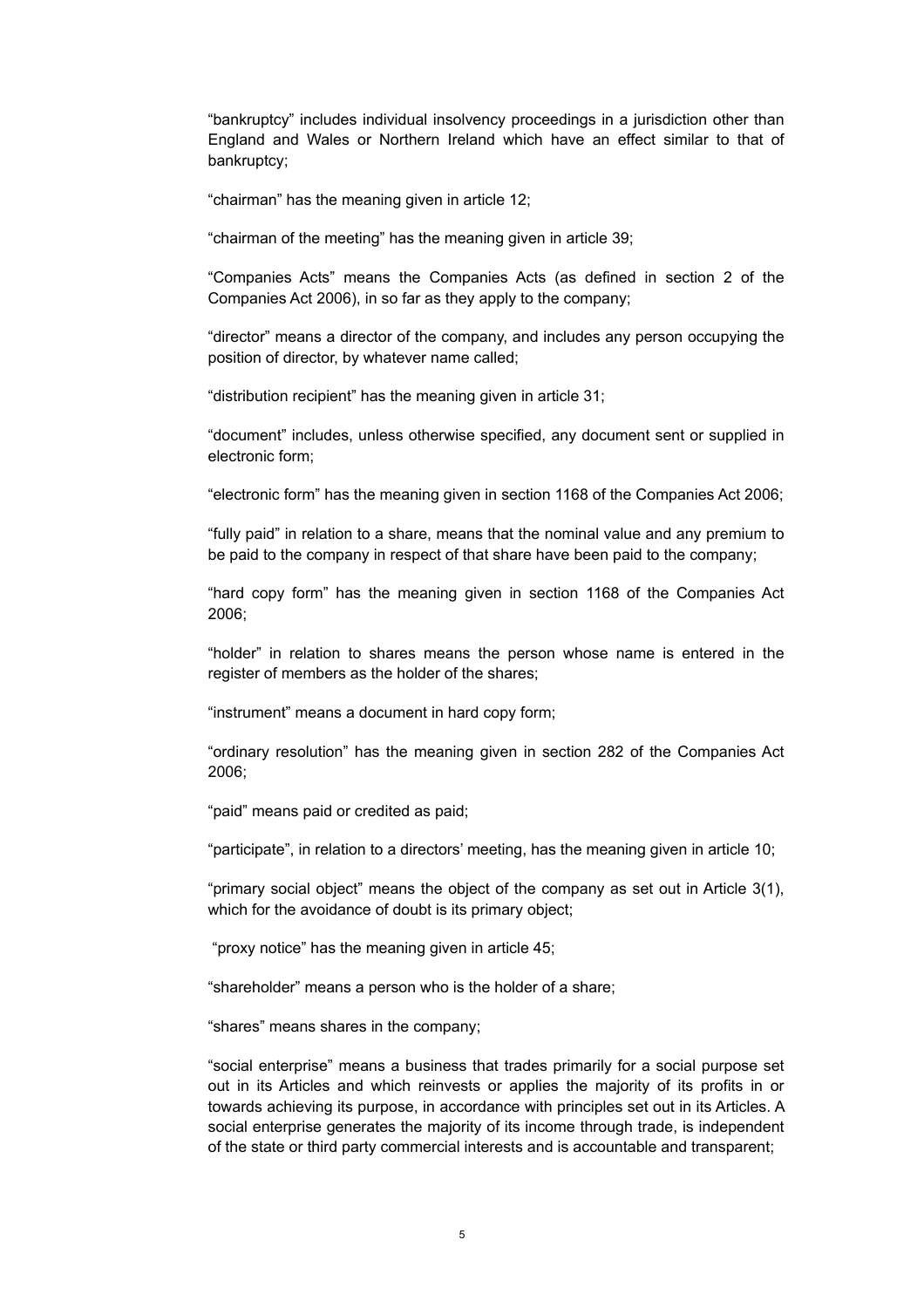"bankruptcy" includes individual insolvency proceedings in a jurisdiction other than England and Wales or Northern Ireland which have an effect similar to that of bankruptcy;

"chairman" has the meaning given in article 12;

"chairman of the meeting" has the meaning given in article 39;

"Companies Acts" means the Companies Acts (as defined in section 2 of the Companies Act 2006), in so far as they apply to the company;

"director" means a director of the company, and includes any person occupying the position of director, by whatever name called;

"distribution recipient" has the meaning given in article 31;

"document" includes, unless otherwise specified, any document sent or supplied in electronic form;

"electronic form" has the meaning given in section 1168 of the Companies Act 2006;

"fully paid" in relation to a share, means that the nominal value and any premium to be paid to the company in respect of that share have been paid to the company;

"hard copy form" has the meaning given in section 1168 of the Companies Act 2006;

"holder" in relation to shares means the person whose name is entered in the register of members as the holder of the shares;

"instrument" means a document in hard copy form;

"ordinary resolution" has the meaning given in section 282 of the Companies Act 2006;

"paid" means paid or credited as paid;

"participate", in relation to a directors' meeting, has the meaning given in article 10;

"primary social object" means the object of the company as set out in Article [3\(1\)](#page-5-8), which for the avoidance of doubt is its primary object;

"proxy notice" has the meaning given in article 45;

"shareholder" means a person who is the holder of a share;

"shares" means shares in the company;

"social enterprise" means a business that trades primarily for a social purpose set out in its Articles and which reinvests or applies the majority of its profits in or towards achieving its purpose, in accordance with principles set out in its Articles. A social enterprise generates the majority of its income through trade, is independent of the state or third party commercial interests and is accountable and transparent;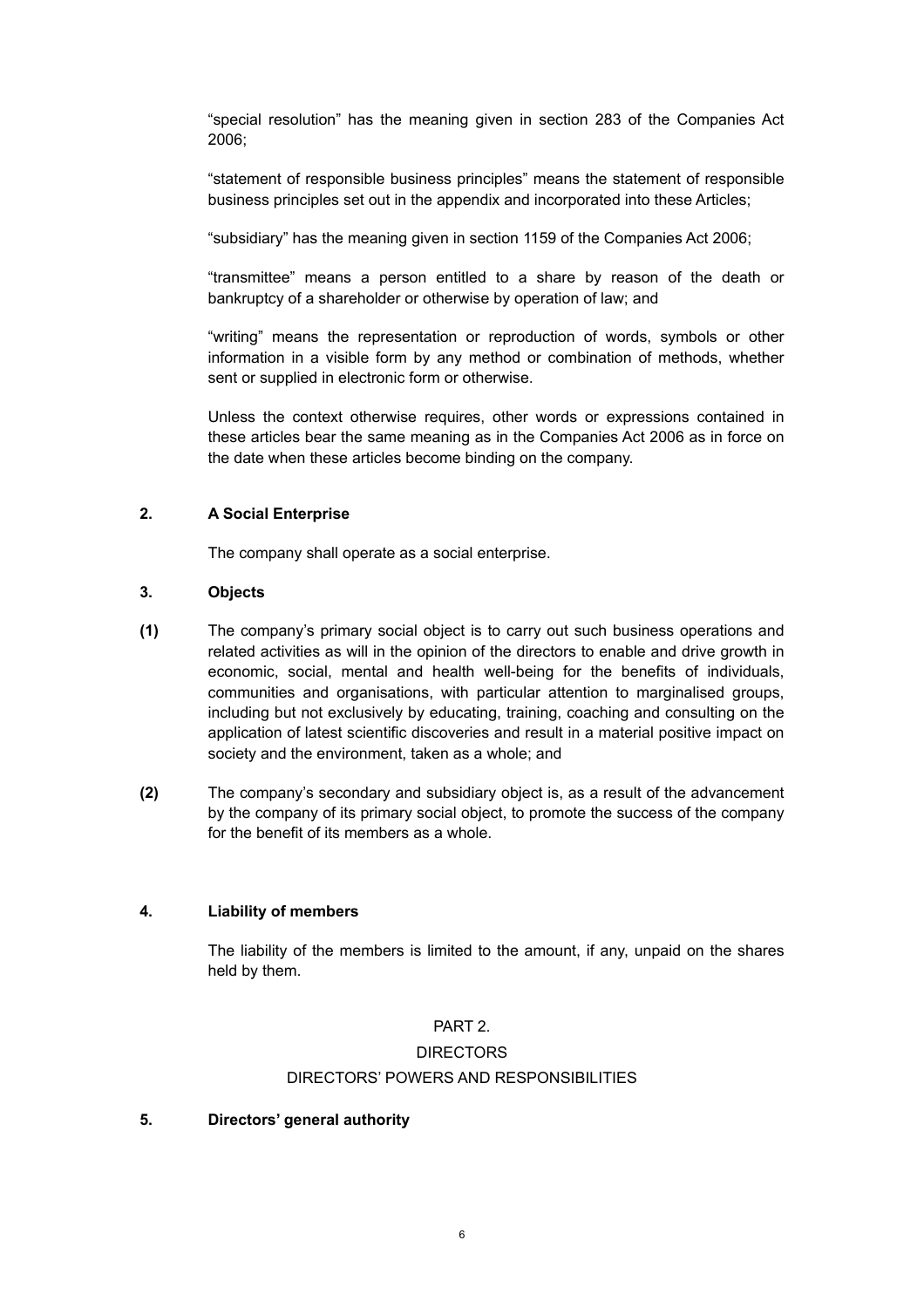"special resolution" has the meaning given in section 283 of the Companies Act 2006;

"statement of responsible business principles" means the statement of responsible business principles set out in the appendix and incorporated into these Articles;

"subsidiary" has the meaning given in section 1159 of the Companies Act 2006;

"transmittee" means a person entitled to a share by reason of the death or bankruptcy of a shareholder or otherwise by operation of law; and

"writing" means the representation or reproduction of words, symbols or other information in a visible form by any method or combination of methods, whether sent or supplied in electronic form or otherwise.

Unless the context otherwise requires, other words or expressions contained in these articles bear the same meaning as in the Companies Act 2006 as in force on the date when these articles become binding on the company.

# **2. A Social Enterprise**

<span id="page-5-2"></span><span id="page-5-1"></span><span id="page-5-0"></span>The company shall operate as a social enterprise.

### **3. Objects**

- <span id="page-5-8"></span>**(1)** The company's primary social object is to carry out such business operations and related activities as will in the opinion of the directors to enable and drive growth in economic, social, mental and health well-being for the benefits of individuals, communities and organisations, with particular attention to marginalised groups, including but not exclusively by educating, training, coaching and consulting on the application of latest scientific discoveries and result in a material positive impact on society and the environment, taken as a whole; and
- **(2)** The company's secondary and subsidiary object is, as a result of the advancement by the company of its primary social object, to promote the success of the company for the benefit of its members as a whole.

# **4. Liability of members**

<span id="page-5-3"></span>The liability of the members is limited to the amount, if any, unpaid on the shares held by them.

# <span id="page-5-4"></span>PART 2.

#### <span id="page-5-5"></span>**DIRECTORS**

### <span id="page-5-6"></span>DIRECTORS' POWERS AND RESPONSIBILITIES

#### <span id="page-5-7"></span>**5. Directors' general authority**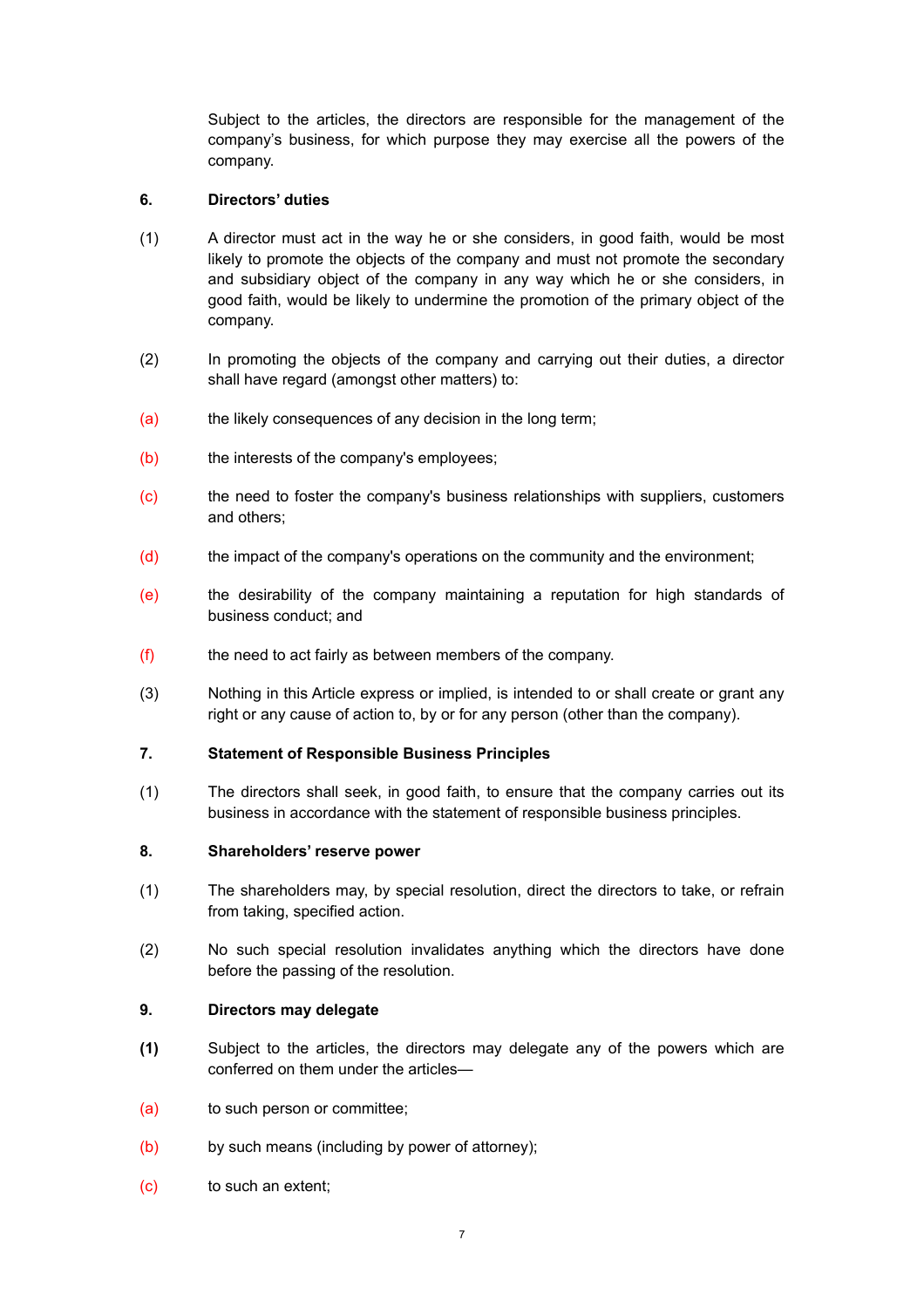Subject to the articles, the directors are responsible for the management of the company's business, for which purpose they may exercise all the powers of the company.

# <span id="page-6-0"></span>**6. Directors' duties**

- (1) A director must act in the way he or she considers, in good faith, would be most likely to promote the objects of the company and must not promote the secondary and subsidiary object of the company in any way which he or she considers, in good faith, would be likely to undermine the promotion of the primary object of the company.
- (2) In promoting the objects of the company and carrying out their duties, a director shall have regard (amongst other matters) to:
- (a) the likely consequences of any decision in the long term;
- (b) the interests of the company's employees;
- (c) the need to foster the company's business relationships with suppliers, customers and others;
- (d) the impact of the company's operations on the community and the environment;
- (e) the desirability of the company maintaining a reputation for high standards of business conduct; and
- (f) the need to act fairly as between members of the company.
- (3) Nothing in this Article express or implied, is intended to or shall create or grant any right or any cause of action to, by or for any person (other than the company).

# <span id="page-6-1"></span>**7. Statement of Responsible Business Principles**

(1) The directors shall seek, in good faith, to ensure that the company carries out its business in accordance with the statement of responsible business principles.

# <span id="page-6-2"></span>**8. Shareholders' reserve power**

- (1) The shareholders may, by special resolution, direct the directors to take, or refrain from taking, specified action.
- (2) No such special resolution invalidates anything which the directors have done before the passing of the resolution.

# <span id="page-6-3"></span>**9. Directors may delegate**

- **(1)** Subject to the articles, the directors may delegate any of the powers which are conferred on them under the articles—
- (a) to such person or committee;
- (b) by such means (including by power of attorney);
- (c) to such an extent;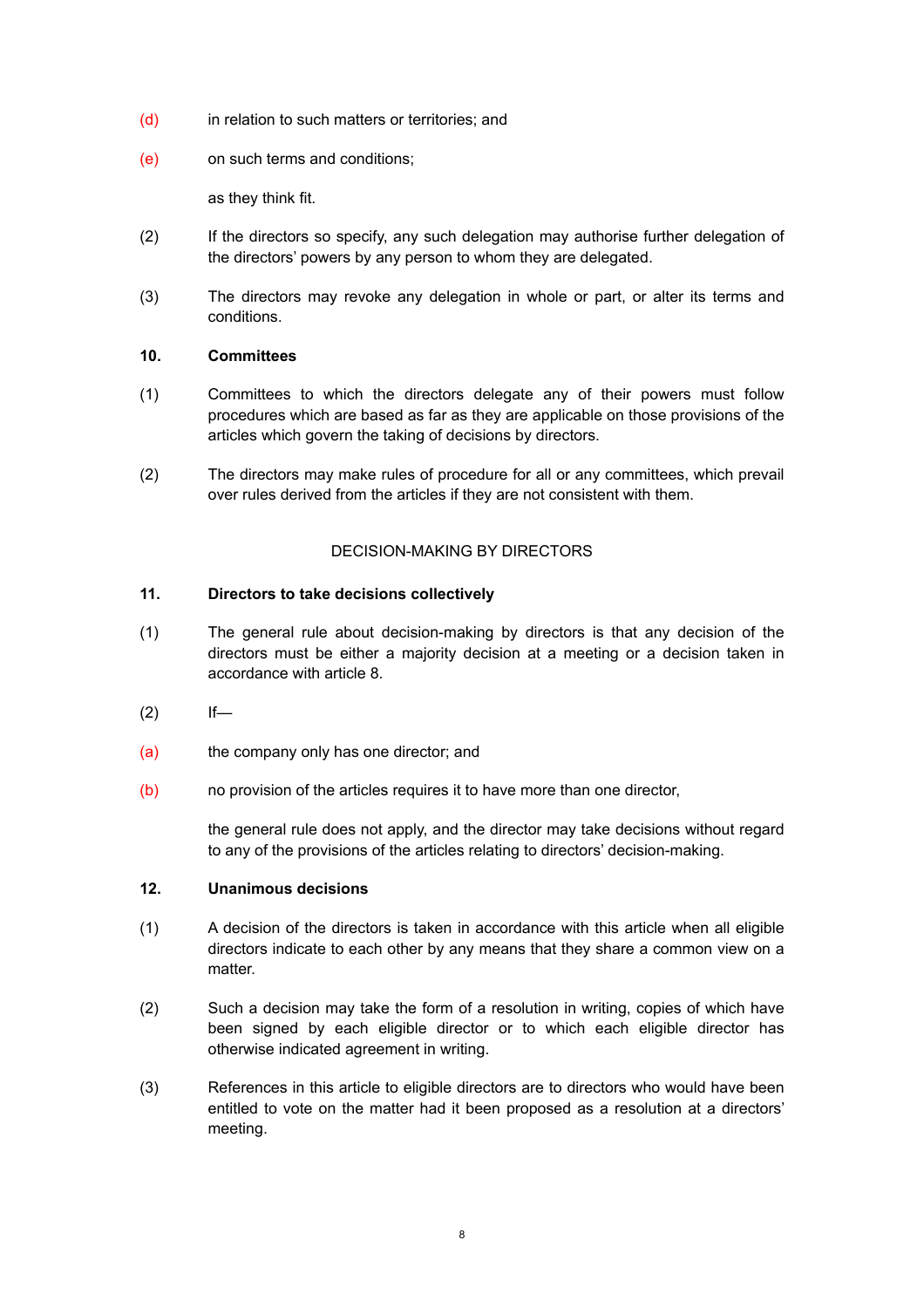- (d) in relation to such matters or territories; and
- (e) on such terms and conditions;

as they think fit.

- (2) If the directors so specify, any such delegation may authorise further delegation of the directors' powers by any person to whom they are delegated.
- (3) The directors may revoke any delegation in whole or part, or alter its terms and conditions.

# <span id="page-7-0"></span>**10. Committees**

- (1) Committees to which the directors delegate any of their powers must follow procedures which are based as far as they are applicable on those provisions of the articles which govern the taking of decisions by directors.
- (2) The directors may make rules of procedure for all or any committees, which prevail over rules derived from the articles if they are not consistent with them.

# <span id="page-7-1"></span>DECISION-MAKING BY DIRECTORS

# <span id="page-7-2"></span>**11. Directors to take decisions collectively**

- (1) The general rule about decision-making by directors is that any decision of the directors must be either a majority decision at a meeting or a decision taken in accordance with article 8.
- $(2)$  If—
- (a) the company only has one director; and
- (b) no provision of the articles requires it to have more than one director,

<span id="page-7-3"></span>the general rule does not apply, and the director may take decisions without regard to any of the provisions of the articles relating to directors' decision-making.

# **12. Unanimous decisions**

- (1) A decision of the directors is taken in accordance with this article when all eligible directors indicate to each other by any means that they share a common view on a matter.
- (2) Such a decision may take the form of a resolution in writing, copies of which have been signed by each eligible director or to which each eligible director has otherwise indicated agreement in writing.
- (3) References in this article to eligible directors are to directors who would have been entitled to vote on the matter had it been proposed as a resolution at a directors' meeting.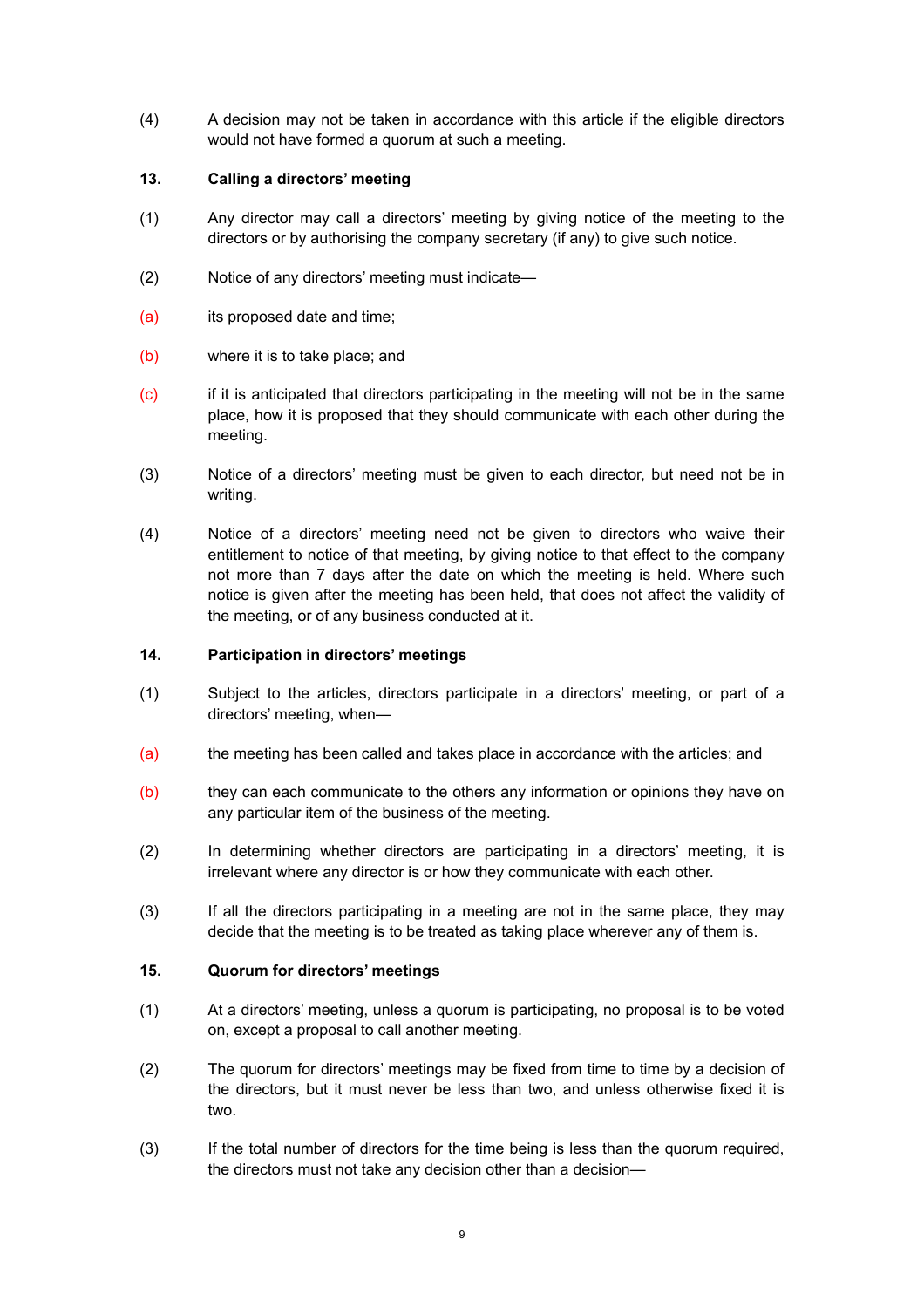(4) A decision may not be taken in accordance with this article if the eligible directors would not have formed a quorum at such a meeting.

# <span id="page-8-0"></span>**13. Calling a directors' meeting**

- (1) Any director may call a directors' meeting by giving notice of the meeting to the directors or by authorising the company secretary (if any) to give such notice.
- (2) Notice of any directors' meeting must indicate—
- (a) its proposed date and time;
- (b) where it is to take place; and
- (c) if it is anticipated that directors participating in the meeting will not be in the same place, how it is proposed that they should communicate with each other during the meeting.
- (3) Notice of a directors' meeting must be given to each director, but need not be in writing.
- (4) Notice of a directors' meeting need not be given to directors who waive their entitlement to notice of that meeting, by giving notice to that effect to the company not more than 7 days after the date on which the meeting is held. Where such notice is given after the meeting has been held, that does not affect the validity of the meeting, or of any business conducted at it.

# <span id="page-8-1"></span>**14. Participation in directors' meetings**

- (1) Subject to the articles, directors participate in a directors' meeting, or part of a directors' meeting, when—
- (a) the meeting has been called and takes place in accordance with the articles; and
- (b) they can each communicate to the others any information or opinions they have on any particular item of the business of the meeting.
- (2) In determining whether directors are participating in a directors' meeting, it is irrelevant where any director is or how they communicate with each other.
- (3) If all the directors participating in a meeting are not in the same place, they may decide that the meeting is to be treated as taking place wherever any of them is.

# <span id="page-8-2"></span>**15. Quorum for directors' meetings**

- (1) At a directors' meeting, unless a quorum is participating, no proposal is to be voted on, except a proposal to call another meeting.
- (2) The quorum for directors' meetings may be fixed from time to time by a decision of the directors, but it must never be less than two, and unless otherwise fixed it is two.
- (3) If the total number of directors for the time being is less than the quorum required, the directors must not take any decision other than a decision—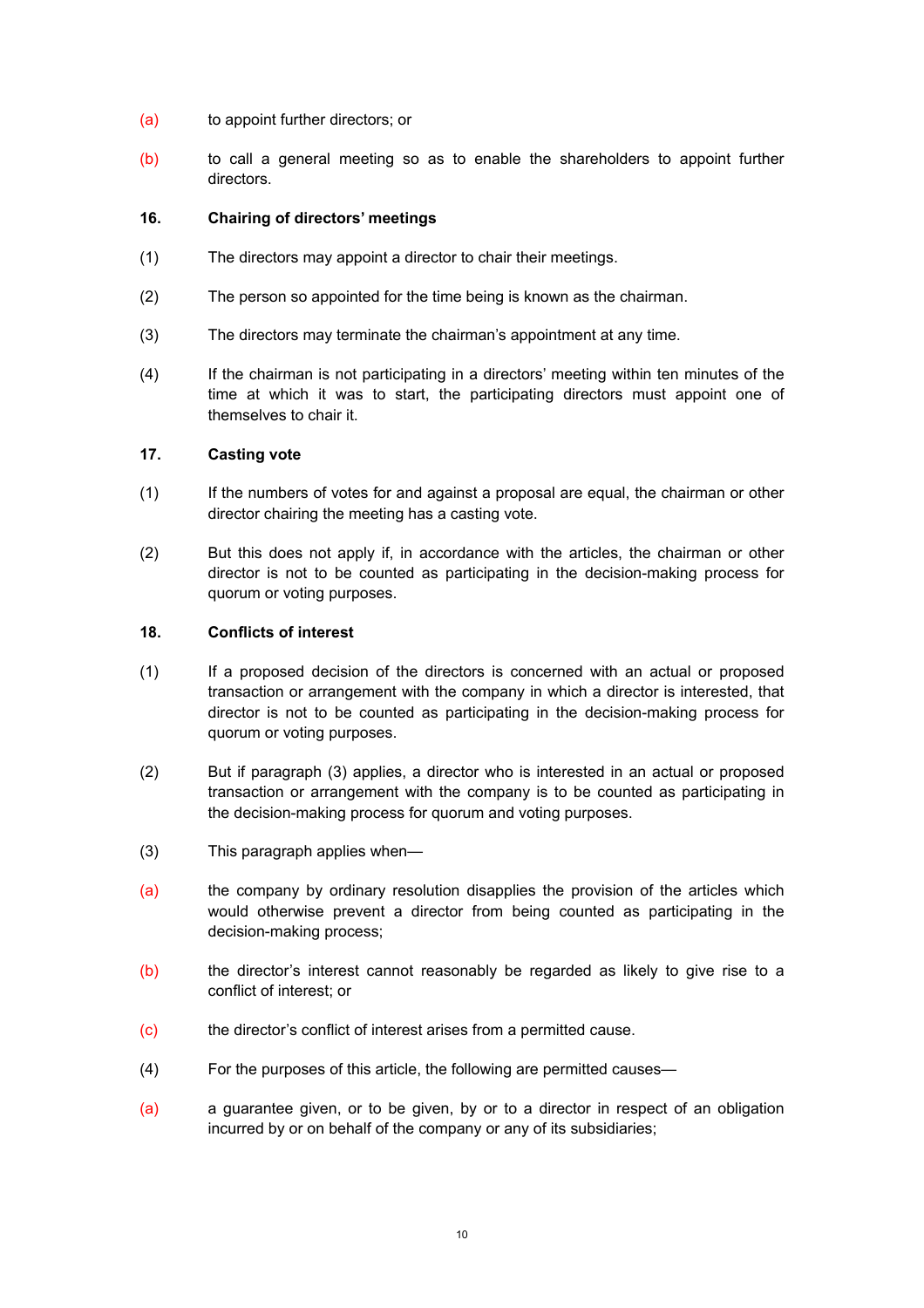- (a) to appoint further directors; or
- (b) to call a general meeting so as to enable the shareholders to appoint further directors.

### <span id="page-9-0"></span>**16. Chairing of directors' meetings**

- (1) The directors may appoint a director to chair their meetings.
- (2) The person so appointed for the time being is known as the chairman.
- (3) The directors may terminate the chairman's appointment at any time.
- (4) If the chairman is not participating in a directors' meeting within ten minutes of the time at which it was to start, the participating directors must appoint one of themselves to chair it.

### <span id="page-9-1"></span>**17. Casting vote**

- (1) If the numbers of votes for and against a proposal are equal, the chairman or other director chairing the meeting has a casting vote.
- (2) But this does not apply if, in accordance with the articles, the chairman or other director is not to be counted as participating in the decision-making process for quorum or voting purposes.

#### <span id="page-9-2"></span>**18. Conflicts of interest**

- (1) If a proposed decision of the directors is concerned with an actual or proposed transaction or arrangement with the company in which a director is interested, that director is not to be counted as participating in the decision-making process for quorum or voting purposes.
- (2) But if paragraph (3) applies, a director who is interested in an actual or proposed transaction or arrangement with the company is to be counted as participating in the decision-making process for quorum and voting purposes.
- (3) This paragraph applies when—
- (a) the company by ordinary resolution disapplies the provision of the articles which would otherwise prevent a director from being counted as participating in the decision-making process;
- (b) the director's interest cannot reasonably be regarded as likely to give rise to a conflict of interest; or
- (c) the director's conflict of interest arises from a permitted cause.
- (4) For the purposes of this article, the following are permitted causes—
- (a) a guarantee given, or to be given, by or to a director in respect of an obligation incurred by or on behalf of the company or any of its subsidiaries;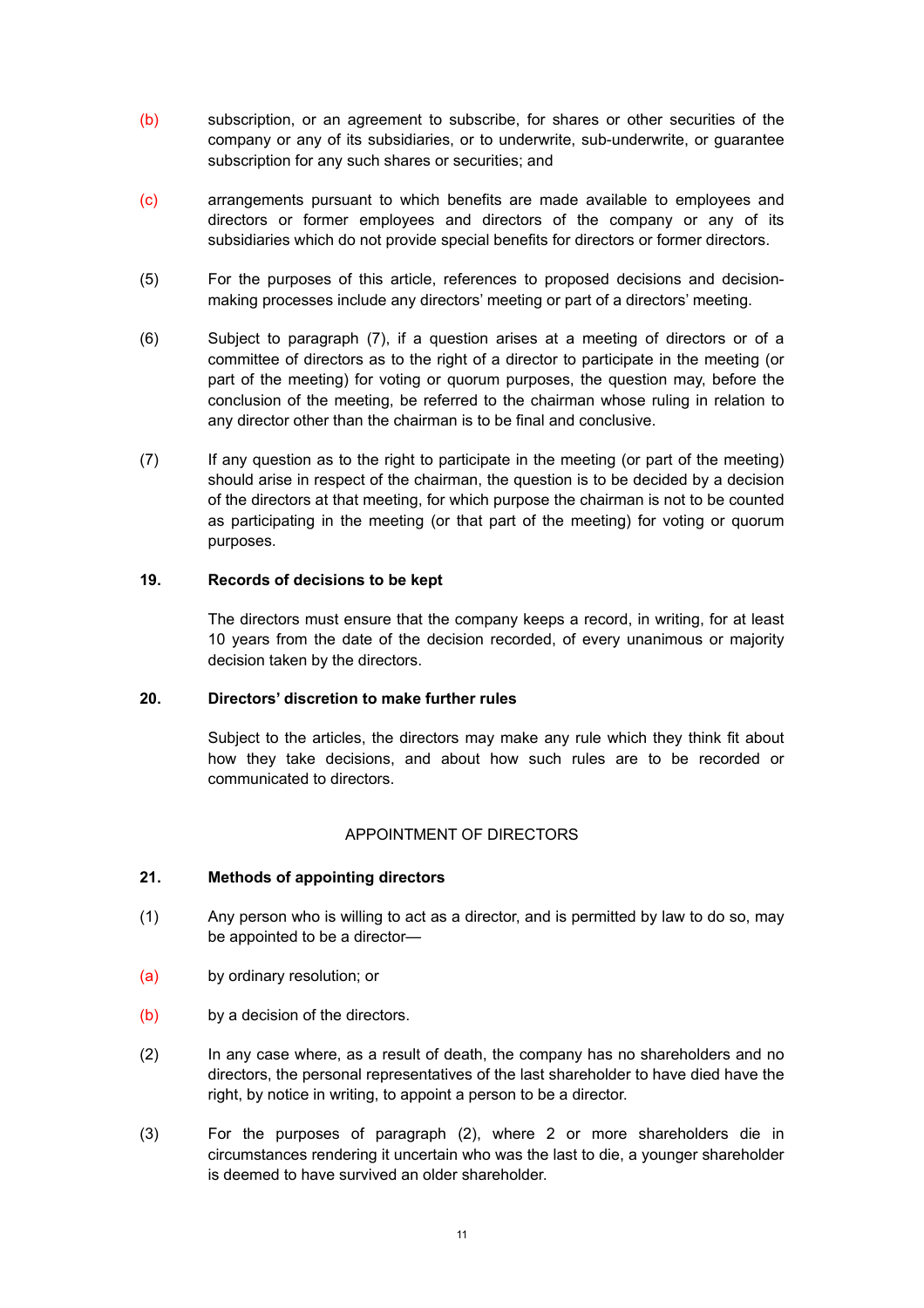- (b) subscription, or an agreement to subscribe, for shares or other securities of the company or any of its subsidiaries, or to underwrite, sub-underwrite, or guarantee subscription for any such shares or securities; and
- (c) arrangements pursuant to which benefits are made available to employees and directors or former employees and directors of the company or any of its subsidiaries which do not provide special benefits for directors or former directors.
- (5) For the purposes of this article, references to proposed decisions and decisionmaking processes include any directors' meeting or part of a directors' meeting.
- (6) Subject to paragraph (7), if a question arises at a meeting of directors or of a committee of directors as to the right of a director to participate in the meeting (or part of the meeting) for voting or quorum purposes, the question may, before the conclusion of the meeting, be referred to the chairman whose ruling in relation to any director other than the chairman is to be final and conclusive.
- (7) If any question as to the right to participate in the meeting (or part of the meeting) should arise in respect of the chairman, the question is to be decided by a decision of the directors at that meeting, for which purpose the chairman is not to be counted as participating in the meeting (or that part of the meeting) for voting or quorum purposes.

### **19. Records of decisions to be kept**

<span id="page-10-0"></span>The directors must ensure that the company keeps a record, in writing, for at least 10 years from the date of the decision recorded, of every unanimous or majority decision taken by the directors.

### **20. Directors' discretion to make further rules**

<span id="page-10-1"></span>Subject to the articles, the directors may make any rule which they think fit about how they take decisions, and about how such rules are to be recorded or communicated to directors.

# <span id="page-10-2"></span>APPOINTMENT OF DIRECTORS

# <span id="page-10-3"></span>**21. Methods of appointing directors**

- (1) Any person who is willing to act as a director, and is permitted by law to do so, may be appointed to be a director—
- (a) by ordinary resolution; or
- (b) by a decision of the directors.
- (2) In any case where, as a result of death, the company has no shareholders and no directors, the personal representatives of the last shareholder to have died have the right, by notice in writing, to appoint a person to be a director.
- (3) For the purposes of paragraph (2), where 2 or more shareholders die in circumstances rendering it uncertain who was the last to die, a younger shareholder is deemed to have survived an older shareholder.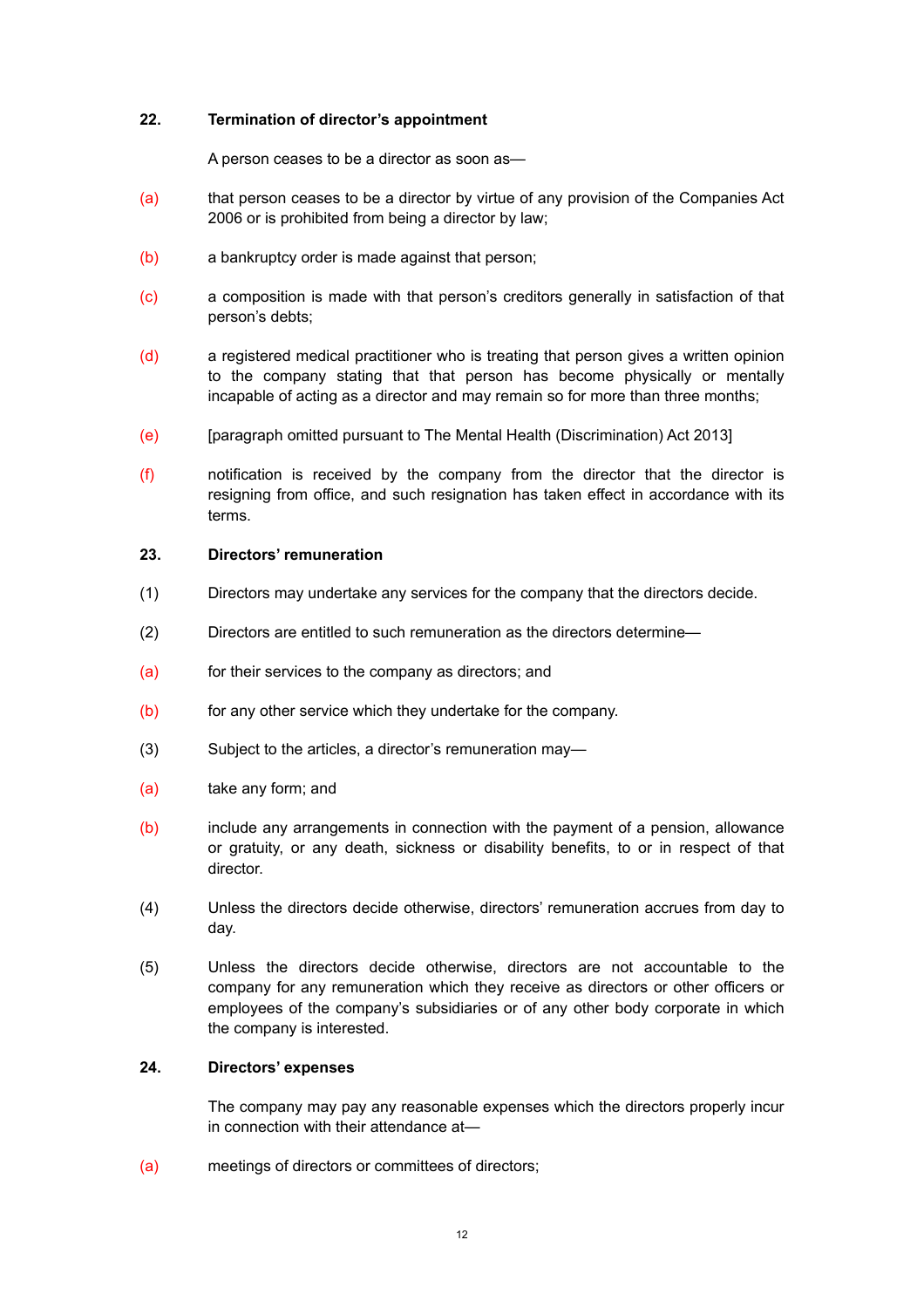### **22. Termination of director's appointment**

<span id="page-11-0"></span>A person ceases to be a director as soon as—

- (a) that person ceases to be a director by virtue of any provision of the Companies Act 2006 or is prohibited from being a director by law;
- (b) a bankruptcy order is made against that person;
- (c) a composition is made with that person's creditors generally in satisfaction of that person's debts;
- (d) a registered medical practitioner who is treating that person gives a written opinion to the company stating that that person has become physically or mentally incapable of acting as a director and may remain so for more than three months;
- (e) [paragraph omitted pursuant to The Mental Health (Discrimination) Act 2013]
- (f) notification is received by the company from the director that the director is resigning from office, and such resignation has taken effect in accordance with its terms.

### <span id="page-11-1"></span>**23. Directors' remuneration**

- (1) Directors may undertake any services for the company that the directors decide.
- (2) Directors are entitled to such remuneration as the directors determine—
- (a) for their services to the company as directors; and
- (b) for any other service which they undertake for the company.
- (3) Subject to the articles, a director's remuneration may—
- (a) take any form; and
- (b) include any arrangements in connection with the payment of a pension, allowance or gratuity, or any death, sickness or disability benefits, to or in respect of that director.
- (4) Unless the directors decide otherwise, directors' remuneration accrues from day to day.
- (5) Unless the directors decide otherwise, directors are not accountable to the company for any remuneration which they receive as directors or other officers or employees of the company's subsidiaries or of any other body corporate in which the company is interested.

# **24. Directors' expenses**

<span id="page-11-2"></span>The company may pay any reasonable expenses which the directors properly incur in connection with their attendance at—

(a) meetings of directors or committees of directors;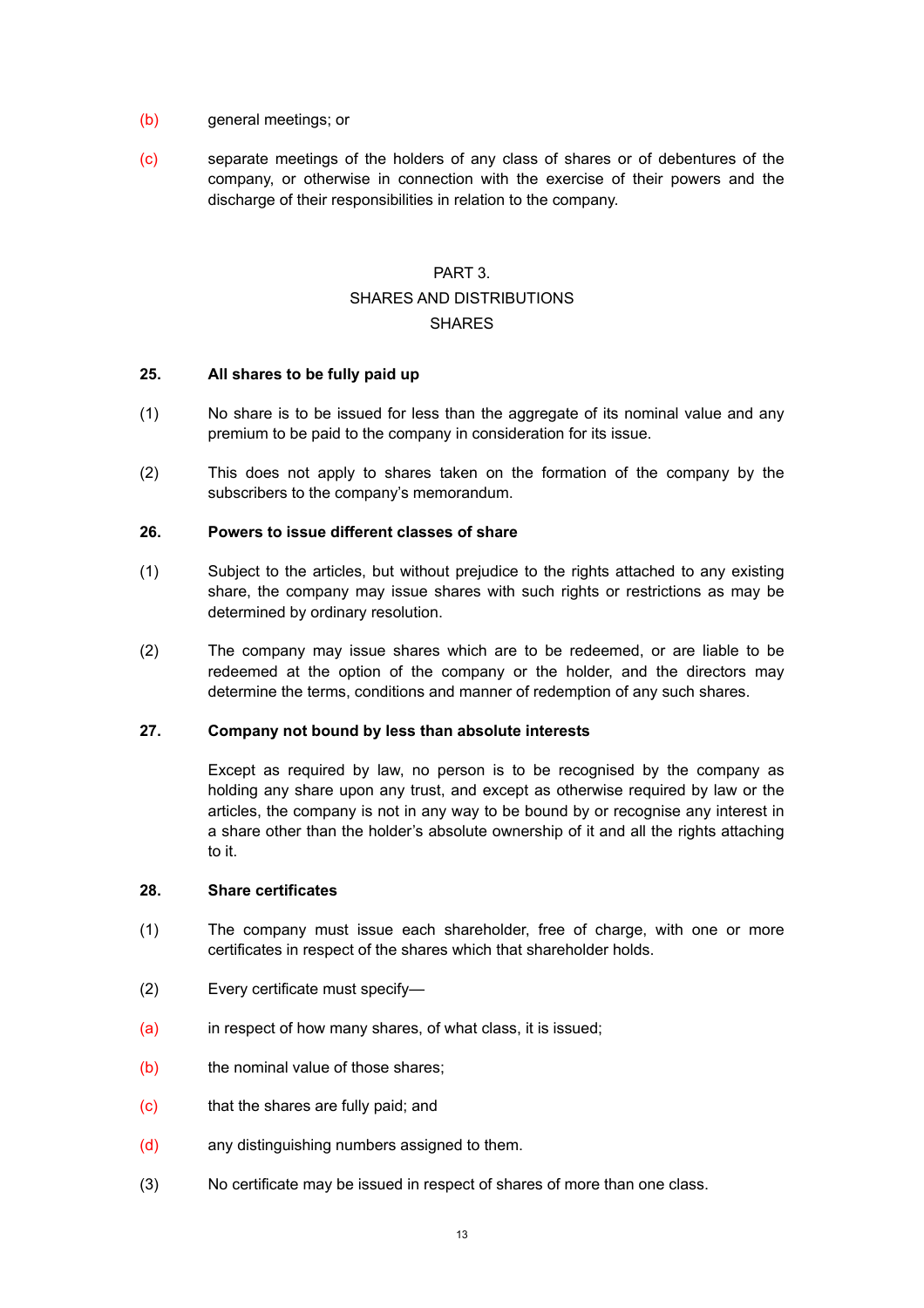- (b) general meetings; or
- (c) separate meetings of the holders of any class of shares or of debentures of the company, or otherwise in connection with the exercise of their powers and the discharge of their responsibilities in relation to the company.

# <span id="page-12-2"></span><span id="page-12-1"></span><span id="page-12-0"></span>PART 3. SHARES AND DISTRIBUTIONS **SHARES**

### <span id="page-12-3"></span>**25. All shares to be fully paid up**

- (1) No share is to be issued for less than the aggregate of its nominal value and any premium to be paid to the company in consideration for its issue.
- (2) This does not apply to shares taken on the formation of the company by the subscribers to the company's memorandum.

#### <span id="page-12-4"></span>**26. Powers to issue different classes of share**

- (1) Subject to the articles, but without prejudice to the rights attached to any existing share, the company may issue shares with such rights or restrictions as may be determined by ordinary resolution.
- (2) The company may issue shares which are to be redeemed, or are liable to be redeemed at the option of the company or the holder, and the directors may determine the terms, conditions and manner of redemption of any such shares.

### **27. Company not bound by less than absolute interests**

<span id="page-12-5"></span>Except as required by law, no person is to be recognised by the company as holding any share upon any trust, and except as otherwise required by law or the articles, the company is not in any way to be bound by or recognise any interest in a share other than the holder's absolute ownership of it and all the rights attaching to it.

#### <span id="page-12-6"></span>**28. Share certificates**

- (1) The company must issue each shareholder, free of charge, with one or more certificates in respect of the shares which that shareholder holds.
- (2) Every certificate must specify—
- (a) in respect of how many shares, of what class, it is issued;
- (b) the nominal value of those shares;
- (c) that the shares are fully paid; and
- (d) any distinguishing numbers assigned to them.
- (3) No certificate may be issued in respect of shares of more than one class.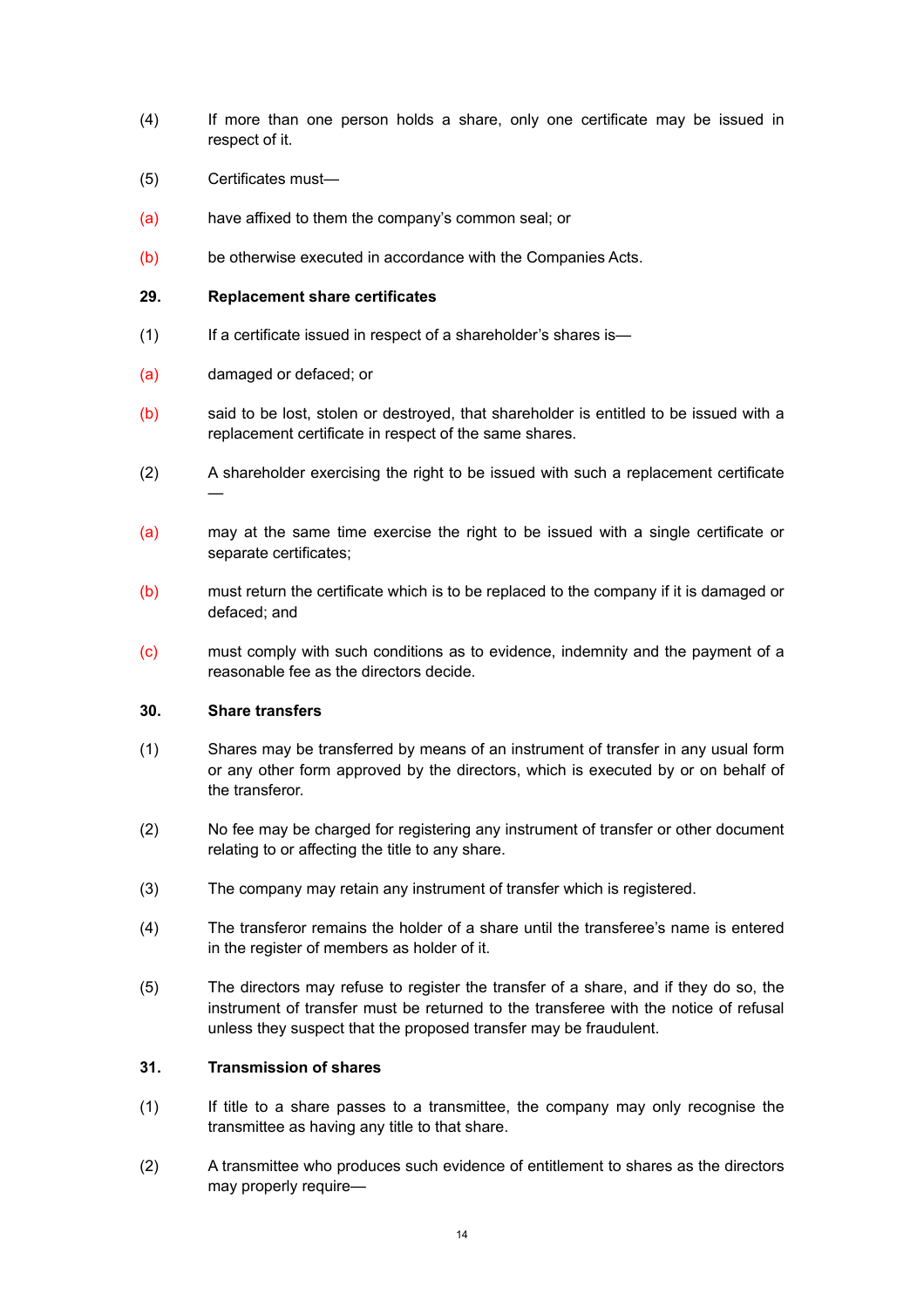- (4) If more than one person holds a share, only one certificate may be issued in respect of it.
- (5) Certificates must—
- (a) have affixed to them the company's common seal; or
- (b) be otherwise executed in accordance with the Companies Acts.

### <span id="page-13-0"></span>**29. Replacement share certificates**

- (1) If a certificate issued in respect of a shareholder's shares is—
- (a) damaged or defaced; or
- (b) said to be lost, stolen or destroyed, that shareholder is entitled to be issued with a replacement certificate in respect of the same shares.
- (2) A shareholder exercising the right to be issued with such a replacement certificate —
- (a) may at the same time exercise the right to be issued with a single certificate or separate certificates;
- (b) must return the certificate which is to be replaced to the company if it is damaged or defaced; and
- (c) must comply with such conditions as to evidence, indemnity and the payment of a reasonable fee as the directors decide.

#### <span id="page-13-1"></span>**30. Share transfers**

- (1) Shares may be transferred by means of an instrument of transfer in any usual form or any other form approved by the directors, which is executed by or on behalf of the transferor.
- (2) No fee may be charged for registering any instrument of transfer or other document relating to or affecting the title to any share.
- (3) The company may retain any instrument of transfer which is registered.
- (4) The transferor remains the holder of a share until the transferee's name is entered in the register of members as holder of it.
- (5) The directors may refuse to register the transfer of a share, and if they do so, the instrument of transfer must be returned to the transferee with the notice of refusal unless they suspect that the proposed transfer may be fraudulent.

# <span id="page-13-2"></span>**31. Transmission of shares**

- (1) If title to a share passes to a transmittee, the company may only recognise the transmittee as having any title to that share.
- (2) A transmittee who produces such evidence of entitlement to shares as the directors may properly require—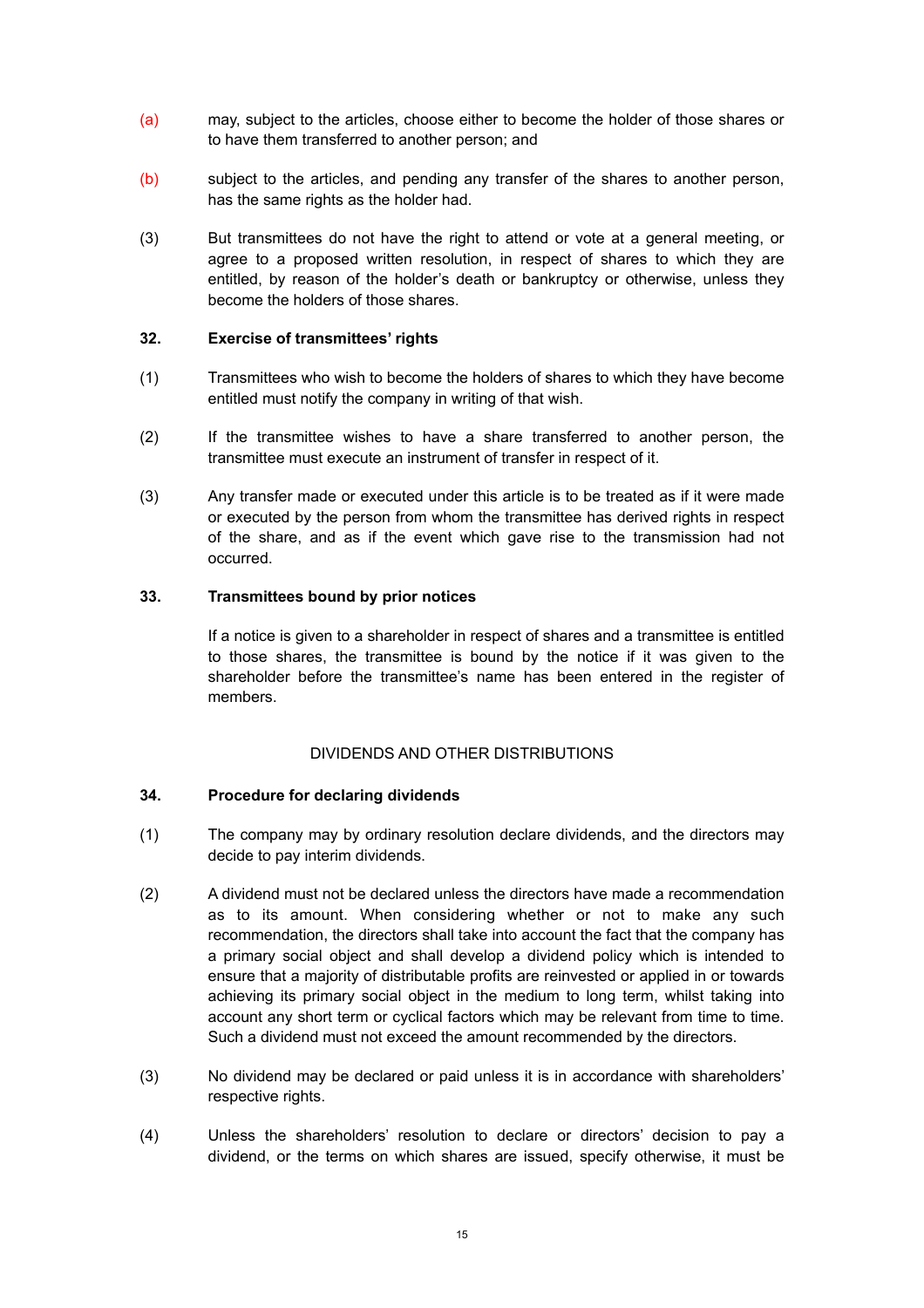- (a) may, subject to the articles, choose either to become the holder of those shares or to have them transferred to another person; and
- (b) subject to the articles, and pending any transfer of the shares to another person, has the same rights as the holder had.
- (3) But transmittees do not have the right to attend or vote at a general meeting, or agree to a proposed written resolution, in respect of shares to which they are entitled, by reason of the holder's death or bankruptcy or otherwise, unless they become the holders of those shares.

### <span id="page-14-0"></span>**32. Exercise of transmittees' rights**

- (1) Transmittees who wish to become the holders of shares to which they have become entitled must notify the company in writing of that wish.
- (2) If the transmittee wishes to have a share transferred to another person, the transmittee must execute an instrument of transfer in respect of it.
- (3) Any transfer made or executed under this article is to be treated as if it were made or executed by the person from whom the transmittee has derived rights in respect of the share, and as if the event which gave rise to the transmission had not occurred.

### **33. Transmittees bound by prior notices**

<span id="page-14-1"></span>If a notice is given to a shareholder in respect of shares and a transmittee is entitled to those shares, the transmittee is bound by the notice if it was given to the shareholder before the transmittee's name has been entered in the register of members.

# <span id="page-14-2"></span>DIVIDENDS AND OTHER DISTRIBUTIONS

#### <span id="page-14-3"></span>**34. Procedure for declaring dividends**

- (1) The company may by ordinary resolution declare dividends, and the directors may decide to pay interim dividends.
- (2) A dividend must not be declared unless the directors have made a recommendation as to its amount. When considering whether or not to make any such recommendation, the directors shall take into account the fact that the company has a primary social object and shall develop a dividend policy which is intended to ensure that a majority of distributable profits are reinvested or applied in or towards achieving its primary social object in the medium to long term, whilst taking into account any short term or cyclical factors which may be relevant from time to time. Such a dividend must not exceed the amount recommended by the directors.
- (3) No dividend may be declared or paid unless it is in accordance with shareholders' respective rights.
- (4) Unless the shareholders' resolution to declare or directors' decision to pay a dividend, or the terms on which shares are issued, specify otherwise, it must be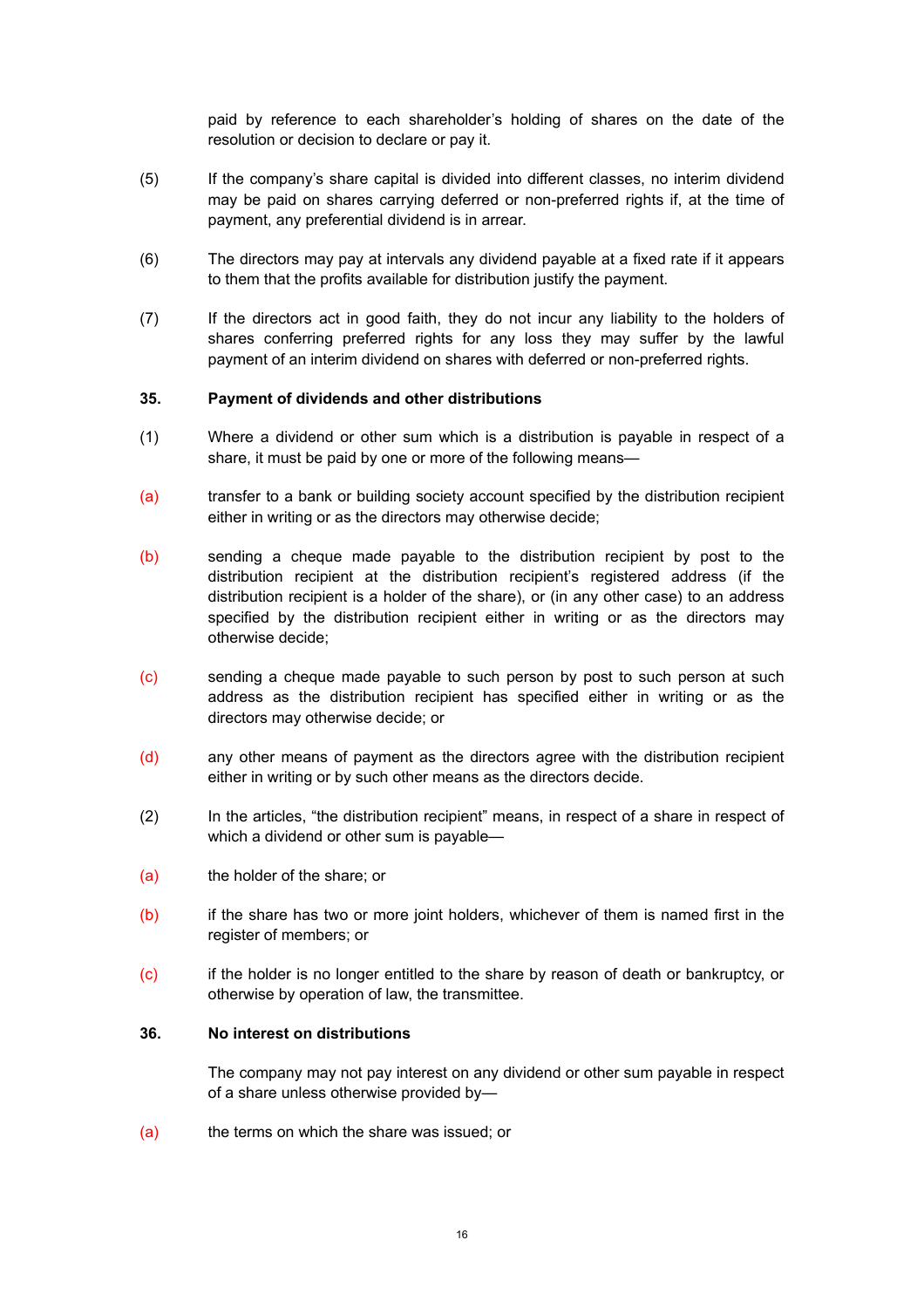paid by reference to each shareholder's holding of shares on the date of the resolution or decision to declare or pay it.

- (5) If the company's share capital is divided into different classes, no interim dividend may be paid on shares carrying deferred or non-preferred rights if, at the time of payment, any preferential dividend is in arrear.
- (6) The directors may pay at intervals any dividend payable at a fixed rate if it appears to them that the profits available for distribution justify the payment.
- (7) If the directors act in good faith, they do not incur any liability to the holders of shares conferring preferred rights for any loss they may suffer by the lawful payment of an interim dividend on shares with deferred or non-preferred rights.

### <span id="page-15-0"></span>**35. Payment of dividends and other distributions**

- (1) Where a dividend or other sum which is a distribution is payable in respect of a share, it must be paid by one or more of the following means—
- (a) transfer to a bank or building society account specified by the distribution recipient either in writing or as the directors may otherwise decide;
- (b) sending a cheque made payable to the distribution recipient by post to the distribution recipient at the distribution recipient's registered address (if the distribution recipient is a holder of the share), or (in any other case) to an address specified by the distribution recipient either in writing or as the directors may otherwise decide;
- (c) sending a cheque made payable to such person by post to such person at such address as the distribution recipient has specified either in writing or as the directors may otherwise decide; or
- (d) any other means of payment as the directors agree with the distribution recipient either in writing or by such other means as the directors decide.
- (2) In the articles, "the distribution recipient" means, in respect of a share in respect of which a dividend or other sum is payable—
- (a) the holder of the share; or
- (b) if the share has two or more joint holders, whichever of them is named first in the register of members; or
- (c) if the holder is no longer entitled to the share by reason of death or bankruptcy, or otherwise by operation of law, the transmittee.

#### **36. No interest on distributions**

<span id="page-15-1"></span>The company may not pay interest on any dividend or other sum payable in respect of a share unless otherwise provided by—

(a) the terms on which the share was issued; or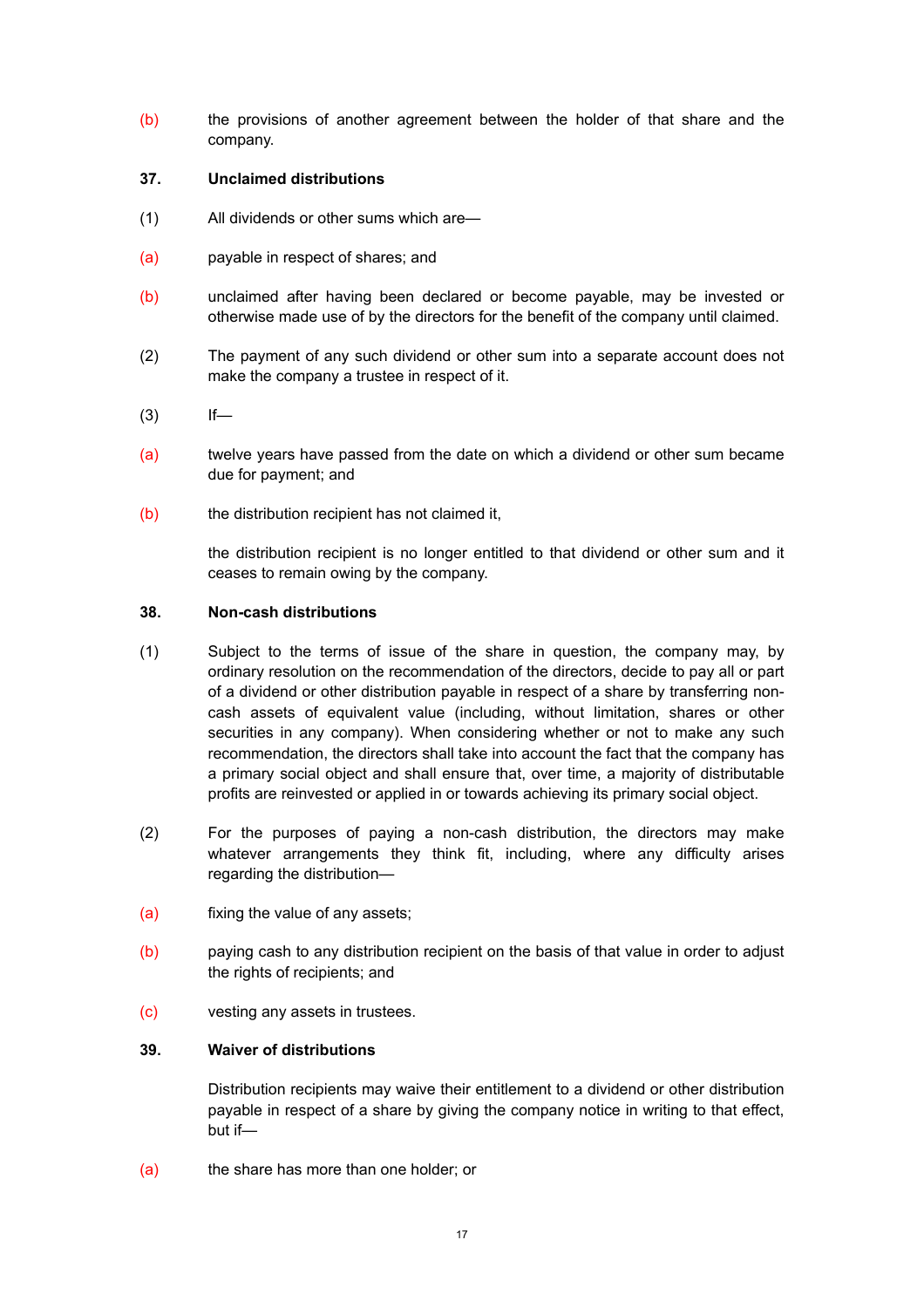(b) the provisions of another agreement between the holder of that share and the company.

# <span id="page-16-0"></span>**37. Unclaimed distributions**

- (1) All dividends or other sums which are—
- (a) payable in respect of shares; and
- (b) unclaimed after having been declared or become payable, may be invested or otherwise made use of by the directors for the benefit of the company until claimed.
- (2) The payment of any such dividend or other sum into a separate account does not make the company a trustee in respect of it.
- $(3)$  If—
- (a) twelve years have passed from the date on which a dividend or other sum became due for payment; and
- (b) the distribution recipient has not claimed it,

<span id="page-16-1"></span>the distribution recipient is no longer entitled to that dividend or other sum and it ceases to remain owing by the company.

# **38. Non-cash distributions**

- (1) Subject to the terms of issue of the share in question, the company may, by ordinary resolution on the recommendation of the directors, decide to pay all or part of a dividend or other distribution payable in respect of a share by transferring noncash assets of equivalent value (including, without limitation, shares or other securities in any company). When considering whether or not to make any such recommendation, the directors shall take into account the fact that the company has a primary social object and shall ensure that, over time, a majority of distributable profits are reinvested or applied in or towards achieving its primary social object.
- (2) For the purposes of paying a non-cash distribution, the directors may make whatever arrangements they think fit, including, where any difficulty arises regarding the distribution—
- (a) fixing the value of any assets;
- (b) paying cash to any distribution recipient on the basis of that value in order to adjust the rights of recipients; and
- (c) vesting any assets in trustees.

# **39. Waiver of distributions**

<span id="page-16-2"></span>Distribution recipients may waive their entitlement to a dividend or other distribution payable in respect of a share by giving the company notice in writing to that effect, but if—

(a) the share has more than one holder; or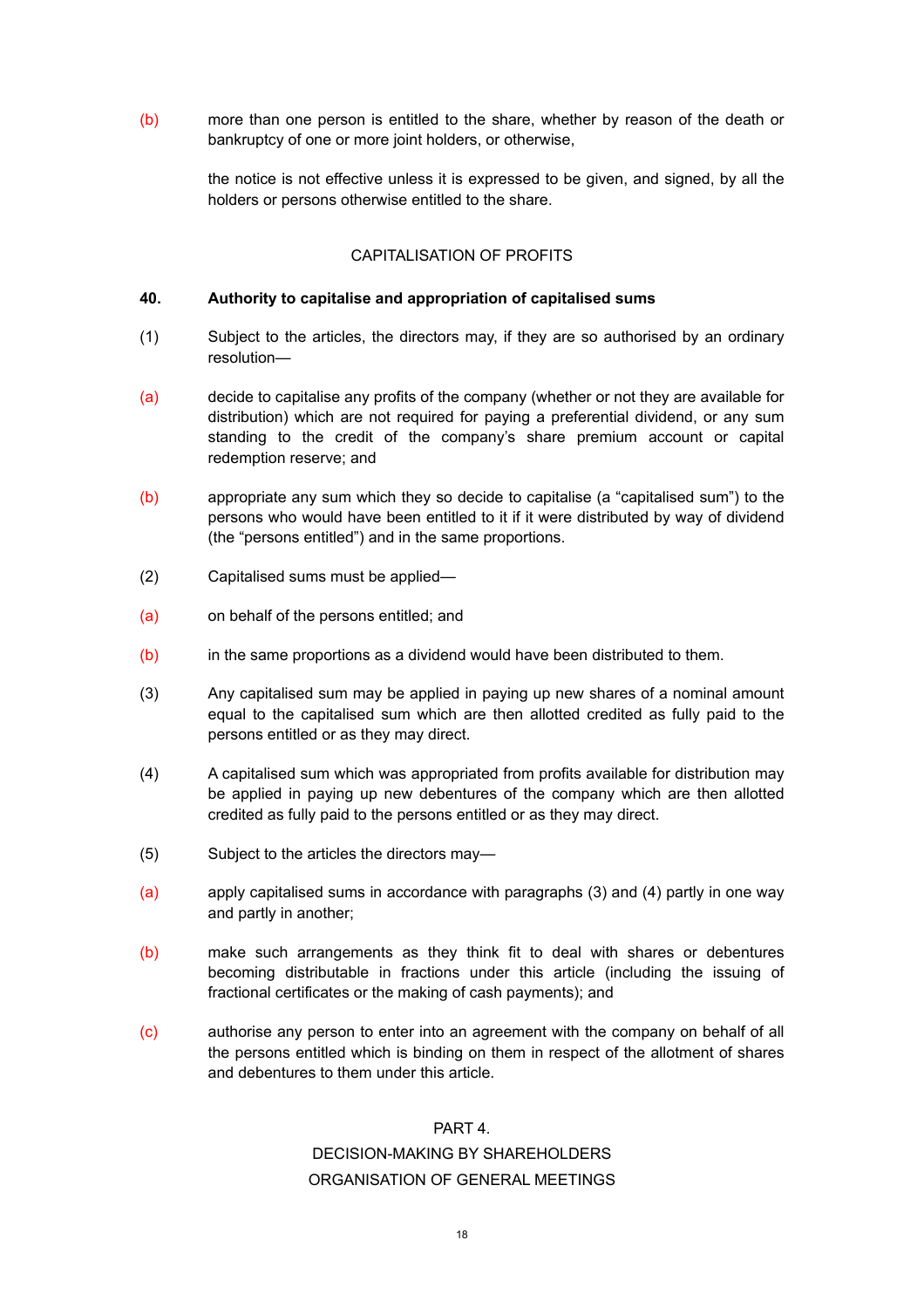(b) more than one person is entitled to the share, whether by reason of the death or bankruptcy of one or more joint holders, or otherwise,

> the notice is not effective unless it is expressed to be given, and signed, by all the holders or persons otherwise entitled to the share.

### <span id="page-17-0"></span>CAPITALISATION OF PROFITS

### <span id="page-17-1"></span>**40. Authority to capitalise and appropriation of capitalised sums**

- (1) Subject to the articles, the directors may, if they are so authorised by an ordinary resolution—
- (a) decide to capitalise any profits of the company (whether or not they are available for distribution) which are not required for paying a preferential dividend, or any sum standing to the credit of the company's share premium account or capital redemption reserve; and
- (b) appropriate any sum which they so decide to capitalise (a "capitalised sum") to the persons who would have been entitled to it if it were distributed by way of dividend (the "persons entitled") and in the same proportions.
- (2) Capitalised sums must be applied—
- (a) on behalf of the persons entitled; and
- (b) in the same proportions as a dividend would have been distributed to them.
- (3) Any capitalised sum may be applied in paying up new shares of a nominal amount equal to the capitalised sum which are then allotted credited as fully paid to the persons entitled or as they may direct.
- (4) A capitalised sum which was appropriated from profits available for distribution may be applied in paying up new debentures of the company which are then allotted credited as fully paid to the persons entitled or as they may direct.
- (5) Subject to the articles the directors may—
- (a) apply capitalised sums in accordance with paragraphs (3) and (4) partly in one way and partly in another;
- (b) make such arrangements as they think fit to deal with shares or debentures becoming distributable in fractions under this article (including the issuing of fractional certificates or the making of cash payments); and
- (c) authorise any person to enter into an agreement with the company on behalf of all the persons entitled which is binding on them in respect of the allotment of shares and debentures to them under this article.

#### <span id="page-17-2"></span>PART 4.

# <span id="page-17-4"></span><span id="page-17-3"></span>DECISION-MAKING BY SHAREHOLDERS ORGANISATION OF GENERAL MEETINGS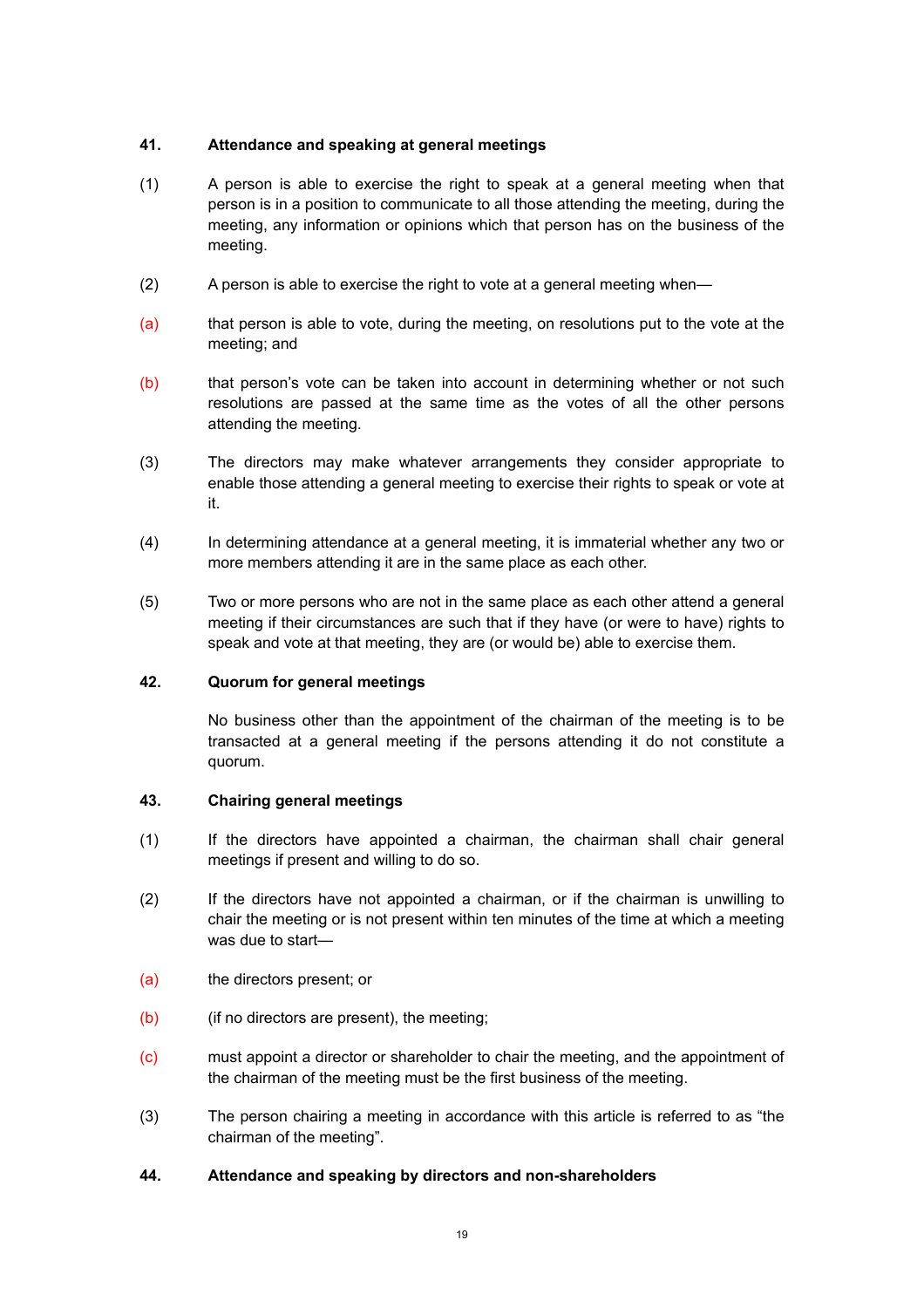# <span id="page-18-0"></span>**41. Attendance and speaking at general meetings**

- (1) A person is able to exercise the right to speak at a general meeting when that person is in a position to communicate to all those attending the meeting, during the meeting, any information or opinions which that person has on the business of the meeting.
- (2) A person is able to exercise the right to vote at a general meeting when—
- (a) that person is able to vote, during the meeting, on resolutions put to the vote at the meeting; and
- (b) that person's vote can be taken into account in determining whether or not such resolutions are passed at the same time as the votes of all the other persons attending the meeting.
- (3) The directors may make whatever arrangements they consider appropriate to enable those attending a general meeting to exercise their rights to speak or vote at it.
- (4) In determining attendance at a general meeting, it is immaterial whether any two or more members attending it are in the same place as each other.
- (5) Two or more persons who are not in the same place as each other attend a general meeting if their circumstances are such that if they have (or were to have) rights to speak and vote at that meeting, they are (or would be) able to exercise them.

# **42. Quorum for general meetings**

<span id="page-18-1"></span>No business other than the appointment of the chairman of the meeting is to be transacted at a general meeting if the persons attending it do not constitute a quorum.

# <span id="page-18-2"></span>**43. Chairing general meetings**

- (1) If the directors have appointed a chairman, the chairman shall chair general meetings if present and willing to do so.
- (2) If the directors have not appointed a chairman, or if the chairman is unwilling to chair the meeting or is not present within ten minutes of the time at which a meeting was due to start—
- (a) the directors present; or
- (b) (if no directors are present), the meeting;
- (c) must appoint a director or shareholder to chair the meeting, and the appointment of the chairman of the meeting must be the first business of the meeting.
- (3) The person chairing a meeting in accordance with this article is referred to as "the chairman of the meeting".

# <span id="page-18-3"></span>**44. Attendance and speaking by directors and non-shareholders**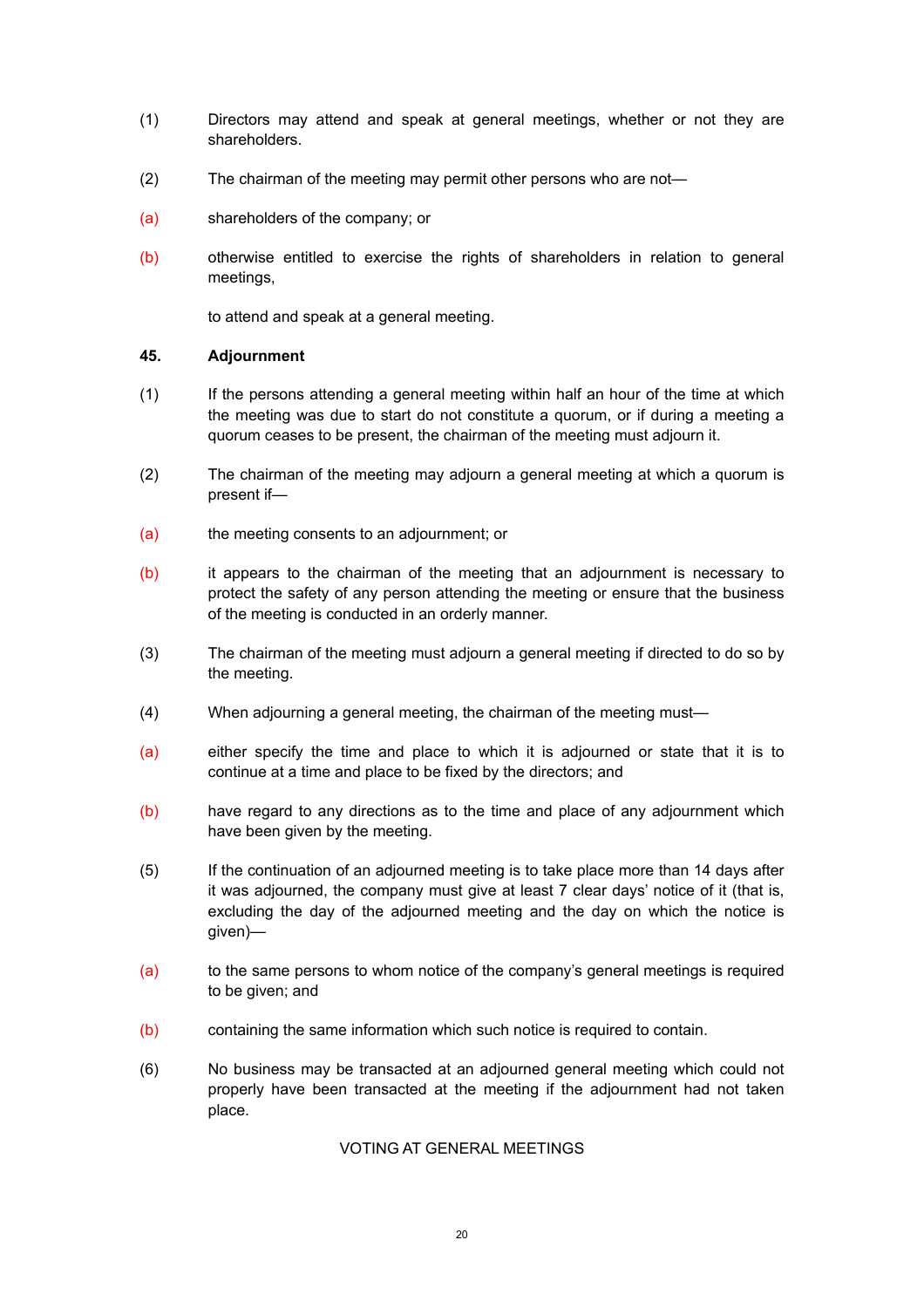- (1) Directors may attend and speak at general meetings, whether or not they are shareholders.
- (2) The chairman of the meeting may permit other persons who are not—
- (a) shareholders of the company; or
- (b) otherwise entitled to exercise the rights of shareholders in relation to general meetings,

<span id="page-19-0"></span>to attend and speak at a general meeting.

### **45. Adjournment**

- (1) If the persons attending a general meeting within half an hour of the time at which the meeting was due to start do not constitute a quorum, or if during a meeting a quorum ceases to be present, the chairman of the meeting must adjourn it.
- (2) The chairman of the meeting may adjourn a general meeting at which a quorum is present if—
- (a) the meeting consents to an adjournment; or
- (b) it appears to the chairman of the meeting that an adjournment is necessary to protect the safety of any person attending the meeting or ensure that the business of the meeting is conducted in an orderly manner.
- (3) The chairman of the meeting must adjourn a general meeting if directed to do so by the meeting.
- (4) When adjourning a general meeting, the chairman of the meeting must—
- (a) either specify the time and place to which it is adjourned or state that it is to continue at a time and place to be fixed by the directors; and
- (b) have regard to any directions as to the time and place of any adjournment which have been given by the meeting.
- (5) If the continuation of an adjourned meeting is to take place more than 14 days after it was adjourned, the company must give at least 7 clear days' notice of it (that is, excluding the day of the adjourned meeting and the day on which the notice is given)—
- (a) to the same persons to whom notice of the company's general meetings is required to be given; and
- (b) containing the same information which such notice is required to contain.
- (6) No business may be transacted at an adjourned general meeting which could not properly have been transacted at the meeting if the adjournment had not taken place.

# <span id="page-19-1"></span>VOTING AT GENERAL MEETINGS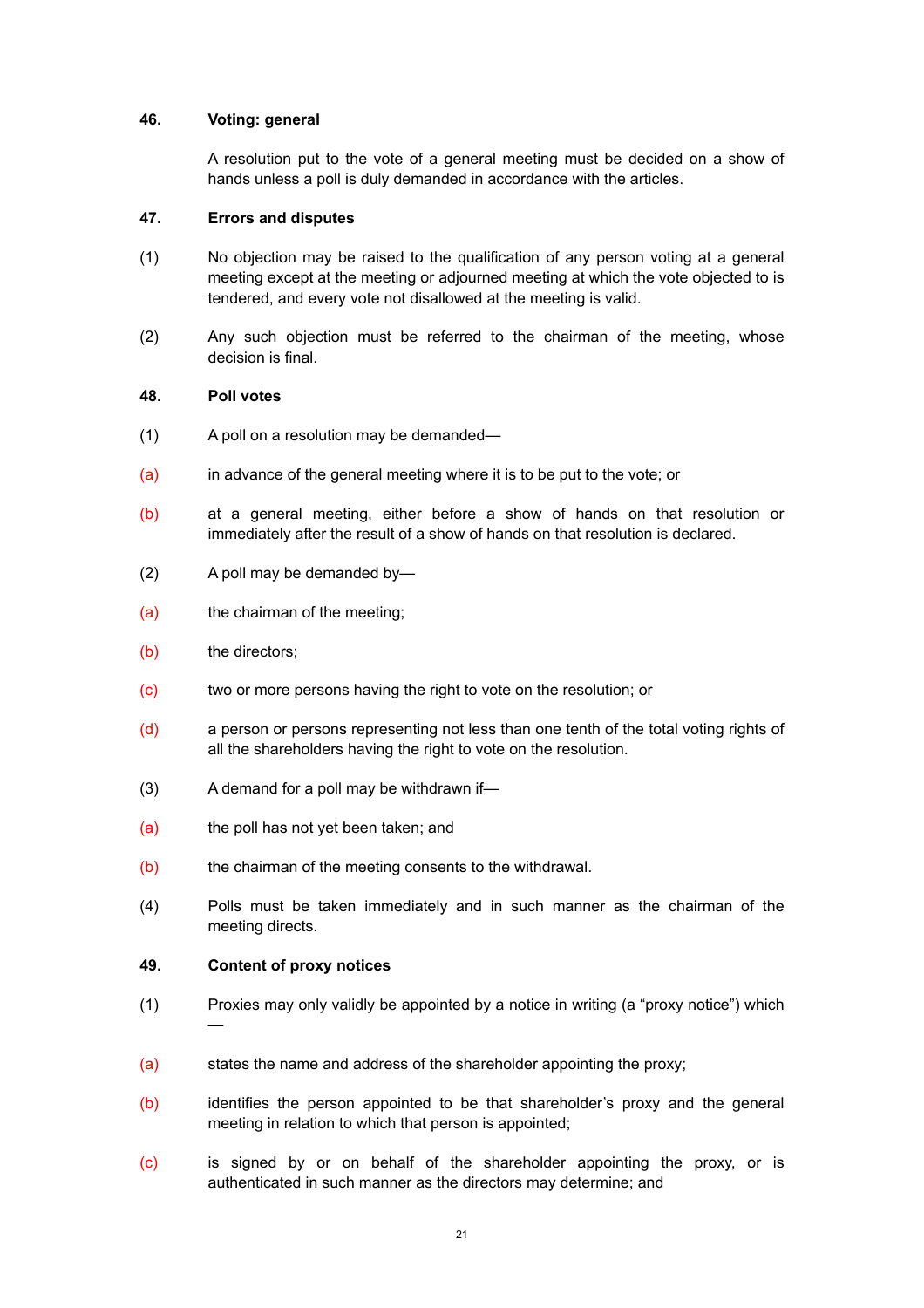# **46. Voting: general**

<span id="page-20-1"></span><span id="page-20-0"></span>A resolution put to the vote of a general meeting must be decided on a show of hands unless a poll is duly demanded in accordance with the articles.

### **47. Errors and disputes**

- (1) No objection may be raised to the qualification of any person voting at a general meeting except at the meeting or adjourned meeting at which the vote objected to is tendered, and every vote not disallowed at the meeting is valid.
- (2) Any such objection must be referred to the chairman of the meeting, whose decision is final.

### <span id="page-20-2"></span>**48. Poll votes**

- (1) A poll on a resolution may be demanded—
- (a) in advance of the general meeting where it is to be put to the vote; or
- (b) at a general meeting, either before a show of hands on that resolution or immediately after the result of a show of hands on that resolution is declared.
- (2) A poll may be demanded by—
- (a) the chairman of the meeting;
- (b) the directors;
- (c) two or more persons having the right to vote on the resolution; or
- (d) a person or persons representing not less than one tenth of the total voting rights of all the shareholders having the right to vote on the resolution.
- (3) A demand for a poll may be withdrawn if—
- (a) the poll has not yet been taken; and
- (b) the chairman of the meeting consents to the withdrawal.
- (4) Polls must be taken immediately and in such manner as the chairman of the meeting directs.

### <span id="page-20-3"></span>**49. Content of proxy notices**

- (1) Proxies may only validly be appointed by a notice in writing (a "proxy notice") which —
- (a) states the name and address of the shareholder appointing the proxy;
- (b) identifies the person appointed to be that shareholder's proxy and the general meeting in relation to which that person is appointed;
- (c) is signed by or on behalf of the shareholder appointing the proxy, or is authenticated in such manner as the directors may determine; and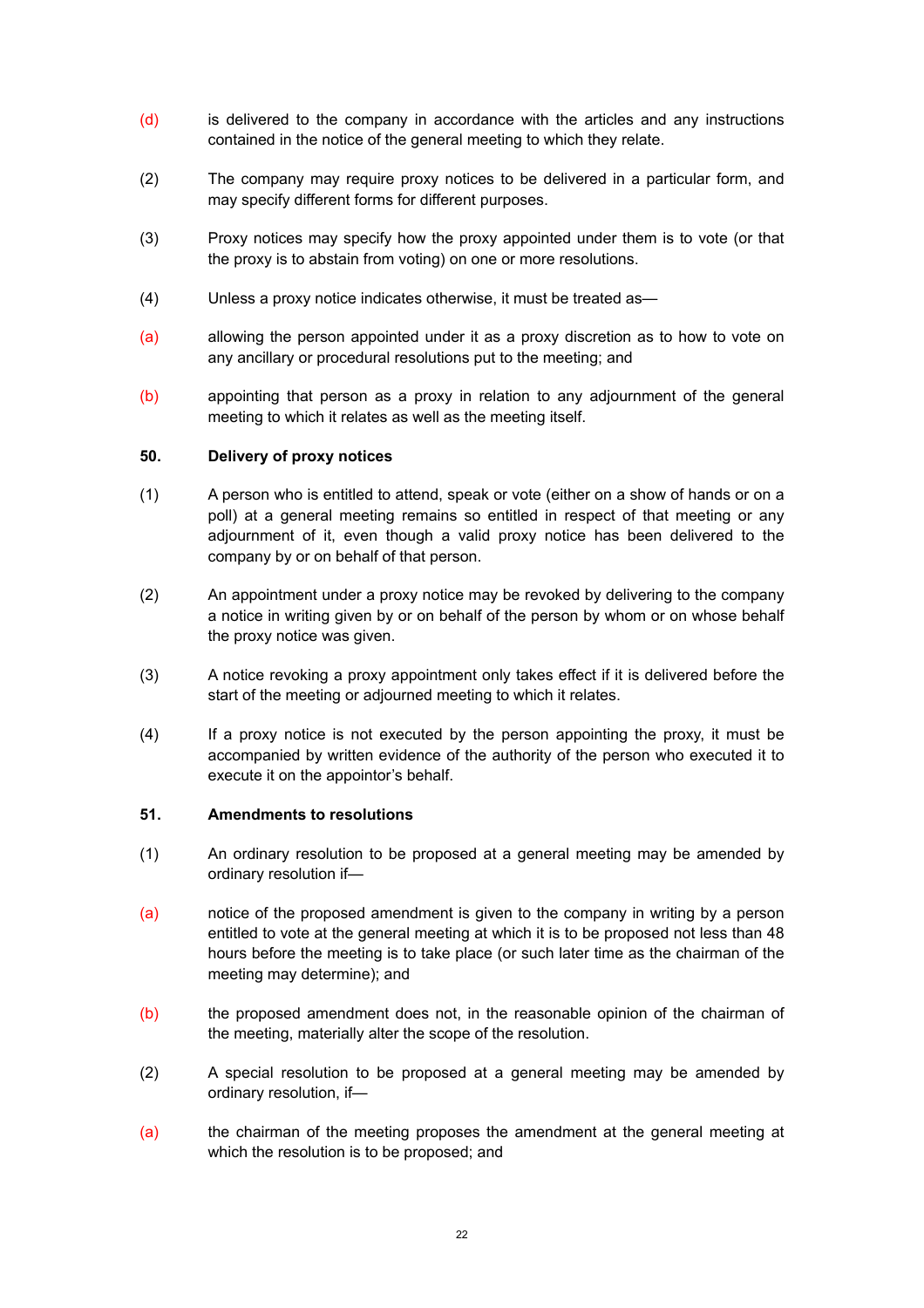- (d) is delivered to the company in accordance with the articles and any instructions contained in the notice of the general meeting to which they relate.
- (2) The company may require proxy notices to be delivered in a particular form, and may specify different forms for different purposes.
- (3) Proxy notices may specify how the proxy appointed under them is to vote (or that the proxy is to abstain from voting) on one or more resolutions.
- (4) Unless a proxy notice indicates otherwise, it must be treated as—
- (a) allowing the person appointed under it as a proxy discretion as to how to vote on any ancillary or procedural resolutions put to the meeting; and
- (b) appointing that person as a proxy in relation to any adjournment of the general meeting to which it relates as well as the meeting itself.

### <span id="page-21-0"></span>**50. Delivery of proxy notices**

- (1) A person who is entitled to attend, speak or vote (either on a show of hands or on a poll) at a general meeting remains so entitled in respect of that meeting or any adjournment of it, even though a valid proxy notice has been delivered to the company by or on behalf of that person.
- (2) An appointment under a proxy notice may be revoked by delivering to the company a notice in writing given by or on behalf of the person by whom or on whose behalf the proxy notice was given.
- (3) A notice revoking a proxy appointment only takes effect if it is delivered before the start of the meeting or adjourned meeting to which it relates.
- (4) If a proxy notice is not executed by the person appointing the proxy, it must be accompanied by written evidence of the authority of the person who executed it to execute it on the appointor's behalf.

### <span id="page-21-1"></span>**51. Amendments to resolutions**

- (1) An ordinary resolution to be proposed at a general meeting may be amended by ordinary resolution if—
- (a) notice of the proposed amendment is given to the company in writing by a person entitled to vote at the general meeting at which it is to be proposed not less than 48 hours before the meeting is to take place (or such later time as the chairman of the meeting may determine); and
- (b) the proposed amendment does not, in the reasonable opinion of the chairman of the meeting, materially alter the scope of the resolution.
- (2) A special resolution to be proposed at a general meeting may be amended by ordinary resolution, if—
- (a) the chairman of the meeting proposes the amendment at the general meeting at which the resolution is to be proposed; and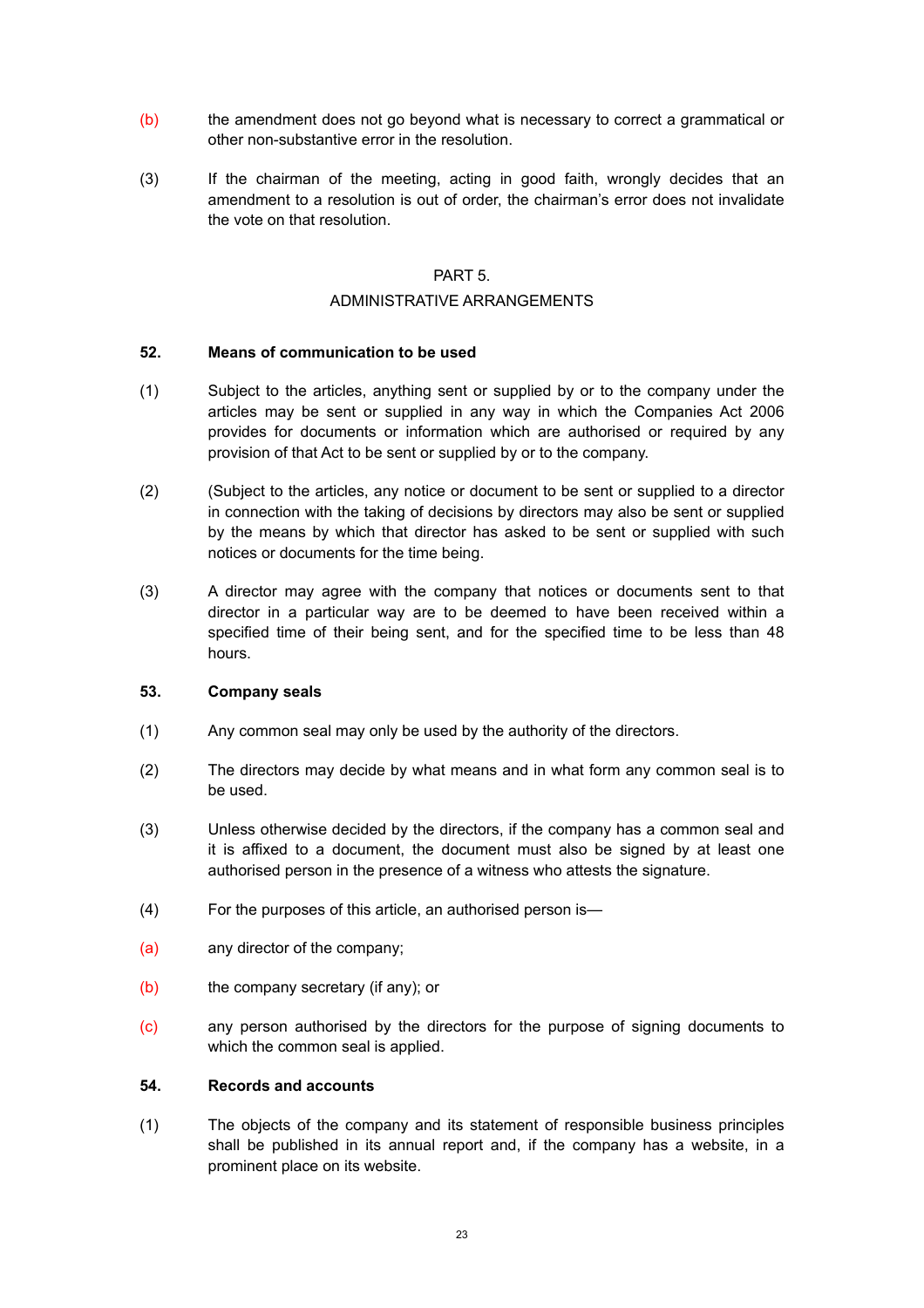- (b) the amendment does not go beyond what is necessary to correct a grammatical or other non-substantive error in the resolution.
- (3) If the chairman of the meeting, acting in good faith, wrongly decides that an amendment to a resolution is out of order, the chairman's error does not invalidate the vote on that resolution.

### <span id="page-22-0"></span>PART 5.

# <span id="page-22-1"></span>ADMINISTRATIVE ARRANGEMENTS

# <span id="page-22-2"></span>**52. Means of communication to be used**

- (1) Subject to the articles, anything sent or supplied by or to the company under the articles may be sent or supplied in any way in which the Companies Act 2006 provides for documents or information which are authorised or required by any provision of that Act to be sent or supplied by or to the company.
- (2) (Subject to the articles, any notice or document to be sent or supplied to a director in connection with the taking of decisions by directors may also be sent or supplied by the means by which that director has asked to be sent or supplied with such notices or documents for the time being.
- (3) A director may agree with the company that notices or documents sent to that director in a particular way are to be deemed to have been received within a specified time of their being sent, and for the specified time to be less than 48 hours.

# <span id="page-22-3"></span>**53. Company seals**

- (1) Any common seal may only be used by the authority of the directors.
- (2) The directors may decide by what means and in what form any common seal is to be used.
- (3) Unless otherwise decided by the directors, if the company has a common seal and it is affixed to a document, the document must also be signed by at least one authorised person in the presence of a witness who attests the signature.
- (4) For the purposes of this article, an authorised person is—
- (a) any director of the company;
- (b) the company secretary (if any); or
- (c) any person authorised by the directors for the purpose of signing documents to which the common seal is applied.

### <span id="page-22-4"></span>**54. Records and accounts**

(1) The objects of the company and its statement of responsible business principles shall be published in its annual report and, if the company has a website, in a prominent place on its website.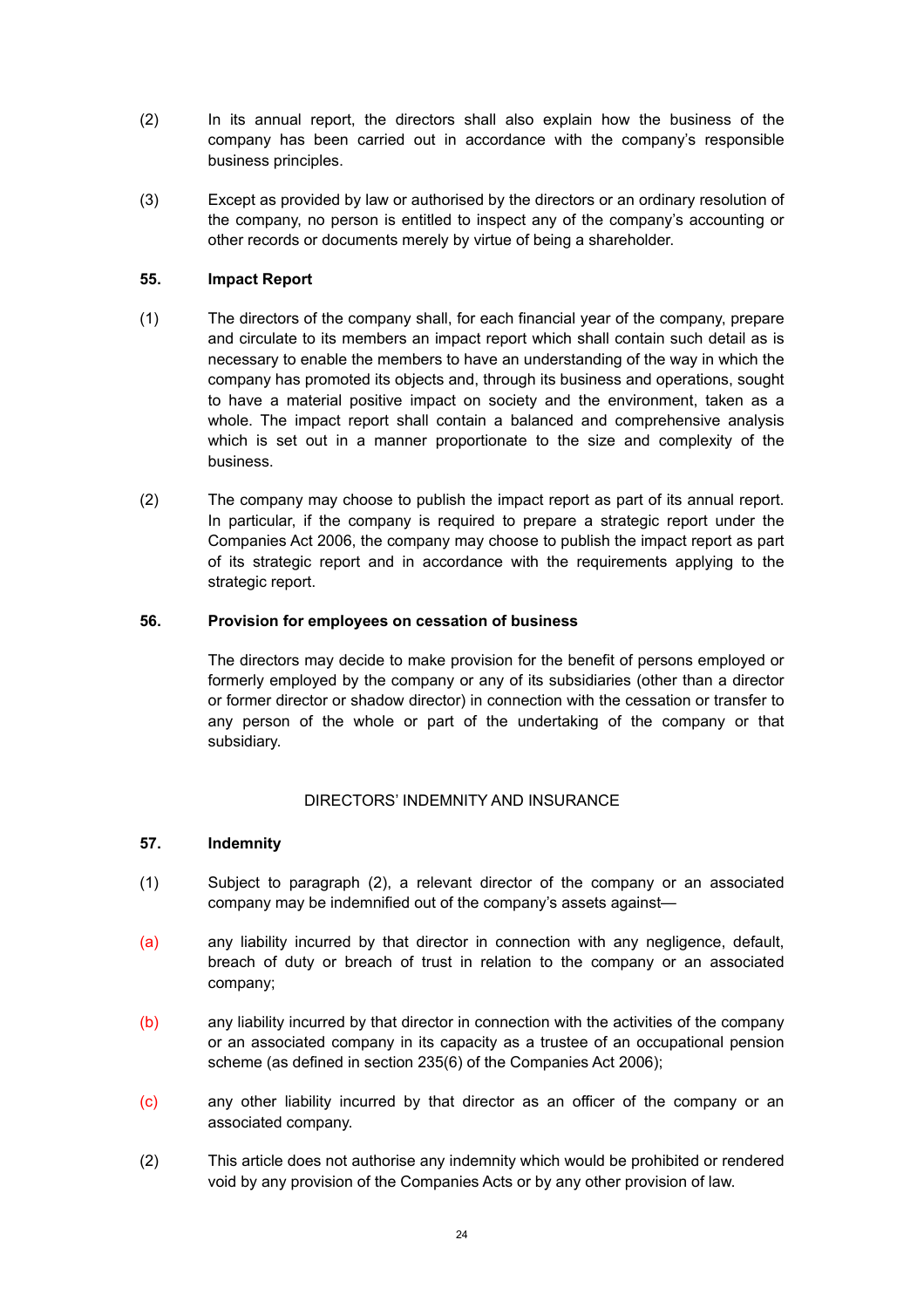- (2) In its annual report, the directors shall also explain how the business of the company has been carried out in accordance with the company's responsible business principles.
- (3) Except as provided by law or authorised by the directors or an ordinary resolution of the company, no person is entitled to inspect any of the company's accounting or other records or documents merely by virtue of being a shareholder.

# <span id="page-23-0"></span>**55. Impact Report**

- (1) The directors of the company shall, for each financial year of the company, prepare and circulate to its members an impact report which shall contain such detail as is necessary to enable the members to have an understanding of the way in which the company has promoted its objects and, through its business and operations, sought to have a material positive impact on society and the environment, taken as a whole. The impact report shall contain a balanced and comprehensive analysis which is set out in a manner proportionate to the size and complexity of the business.
- (2) The company may choose to publish the impact report as part of its annual report. In particular, if the company is required to prepare a strategic report under the Companies Act 2006, the company may choose to publish the impact report as part of its strategic report and in accordance with the requirements applying to the strategic report.

# **56. Provision for employees on cessation of business**

<span id="page-23-1"></span>The directors may decide to make provision for the benefit of persons employed or formerly employed by the company or any of its subsidiaries (other than a director or former director or shadow director) in connection with the cessation or transfer to any person of the whole or part of the undertaking of the company or that subsidiary.

# <span id="page-23-2"></span>DIRECTORS' INDEMNITY AND INSURANCE

# <span id="page-23-3"></span>**57. Indemnity**

- (1) Subject to paragraph (2), a relevant director of the company or an associated company may be indemnified out of the company's assets against—
- (a) any liability incurred by that director in connection with any negligence, default, breach of duty or breach of trust in relation to the company or an associated company;
- (b) any liability incurred by that director in connection with the activities of the company or an associated company in its capacity as a trustee of an occupational pension scheme (as defined in section 235(6) of the Companies Act 2006);
- (c) any other liability incurred by that director as an officer of the company or an associated company.
- (2) This article does not authorise any indemnity which would be prohibited or rendered void by any provision of the Companies Acts or by any other provision of law.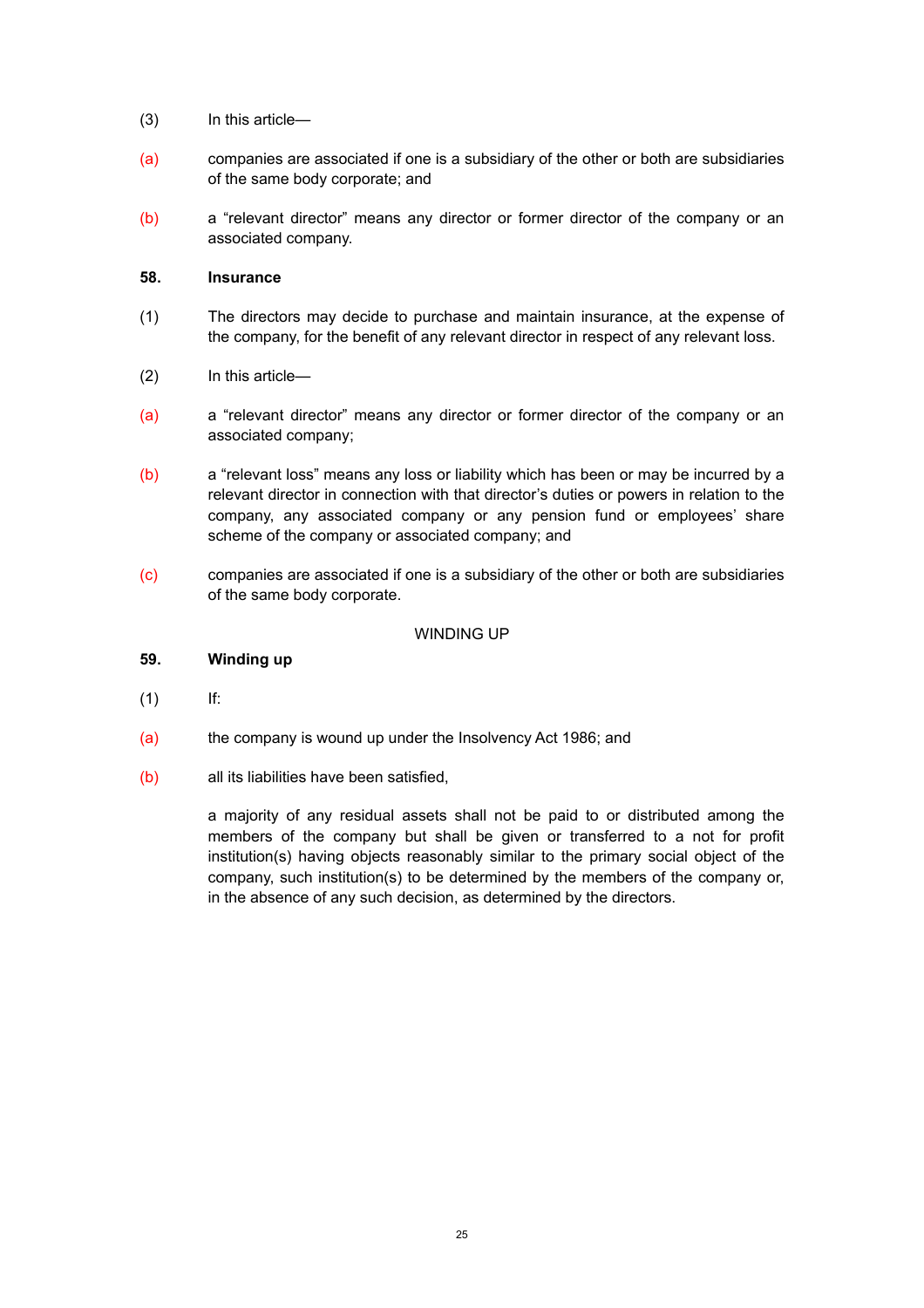- (3) In this article—
- (a) companies are associated if one is a subsidiary of the other or both are subsidiaries of the same body corporate; and
- (b) a "relevant director" means any director or former director of the company or an associated company.

### <span id="page-24-0"></span>**58. Insurance**

- (1) The directors may decide to purchase and maintain insurance, at the expense of the company, for the benefit of any relevant director in respect of any relevant loss.
- (2) In this article—
- (a) a "relevant director" means any director or former director of the company or an associated company;
- (b) a "relevant loss" means any loss or liability which has been or may be incurred by a relevant director in connection with that director's duties or powers in relation to the company, any associated company or any pension fund or employees' share scheme of the company or associated company; and
- (c) companies are associated if one is a subsidiary of the other or both are subsidiaries of the same body corporate.

### <span id="page-24-1"></span>WINDING UP

### <span id="page-24-2"></span>**59. Winding up**

- $(1)$  If:
- (a) the company is wound up under the Insolvency Act 1986; and
- (b) all its liabilities have been satisfied,

a majority of any residual assets shall not be paid to or distributed among the members of the company but shall be given or transferred to a not for profit institution(s) having objects reasonably similar to the primary social object of the company, such institution(s) to be determined by the members of the company or, in the absence of any such decision, as determined by the directors.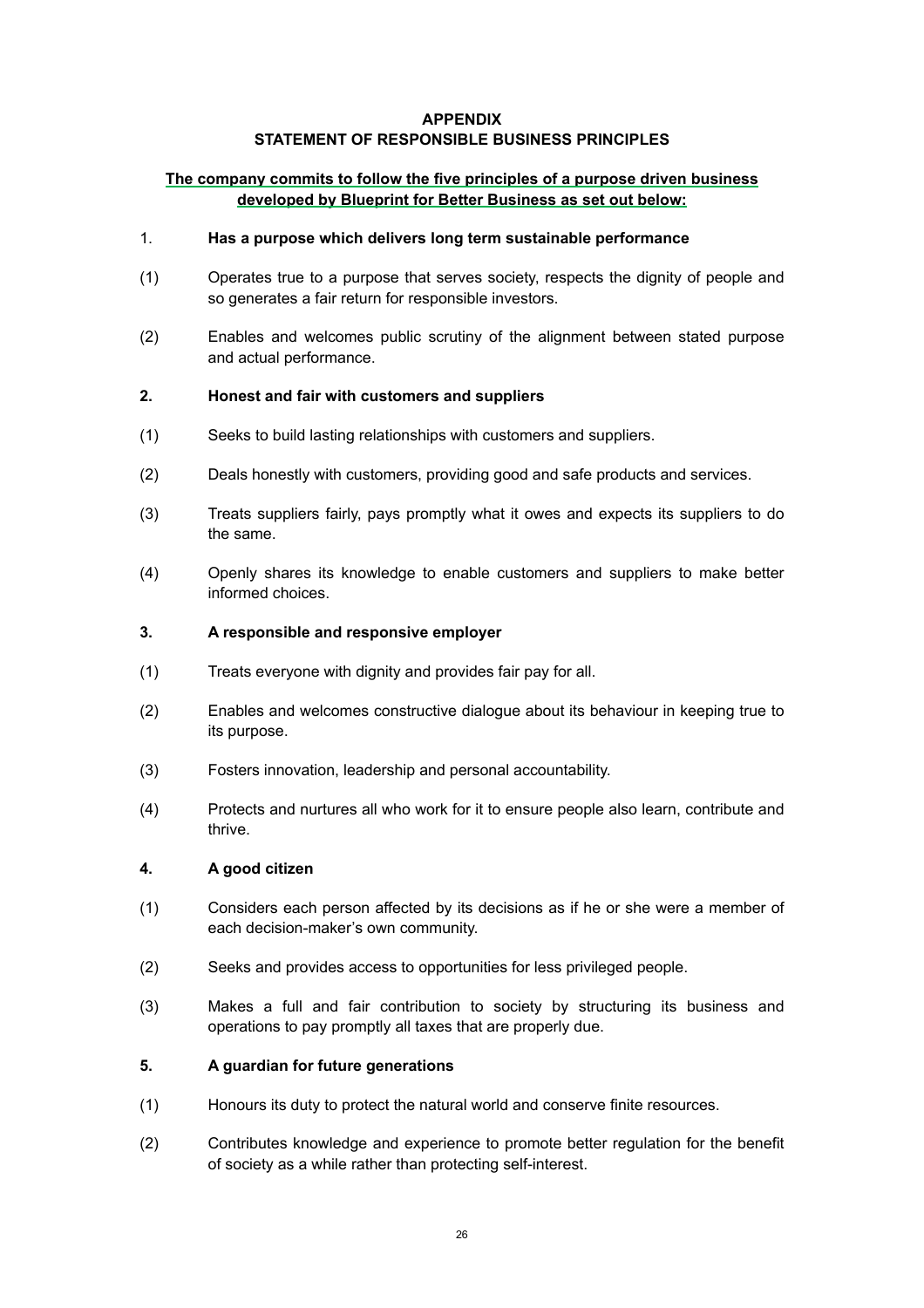### **APPENDIX**

# **STATEMENT OF RESPONSIBLE BUSINESS PRINCIPLES**

# **The company commits to follow the five principles of a purpose driven business developed by Blueprint for Better Business as set out below:**

### <span id="page-25-0"></span>1. **Has a purpose which delivers long term sustainable performance**

- <span id="page-25-1"></span>(1) Operates true to a purpose that serves society, respects the dignity of people and so generates a fair return for responsible investors.
- <span id="page-25-2"></span>(2) Enables and welcomes public scrutiny of the alignment between stated purpose and actual performance.

# <span id="page-25-3"></span>**2. Honest and fair with customers and suppliers**

- <span id="page-25-4"></span>(1) Seeks to build lasting relationships with customers and suppliers.
- <span id="page-25-5"></span>(2) Deals honestly with customers, providing good and safe products and services.
- <span id="page-25-6"></span>(3) Treats suppliers fairly, pays promptly what it owes and expects its suppliers to do the same.
- <span id="page-25-7"></span>(4) Openly shares its knowledge to enable customers and suppliers to make better informed choices.

#### <span id="page-25-8"></span>**3. A responsible and responsive employer**

- <span id="page-25-9"></span>(1) Treats everyone with dignity and provides fair pay for all.
- <span id="page-25-10"></span>(2) Enables and welcomes constructive dialogue about its behaviour in keeping true to its purpose.
- <span id="page-25-11"></span>(3) Fosters innovation, leadership and personal accountability.
- <span id="page-25-12"></span>(4) Protects and nurtures all who work for it to ensure people also learn, contribute and thrive.

#### <span id="page-25-13"></span>**4. A good citizen**

- <span id="page-25-14"></span>(1) Considers each person affected by its decisions as if he or she were a member of each decision-maker's own community.
- <span id="page-25-15"></span>(2) Seeks and provides access to opportunities for less privileged people.
- <span id="page-25-16"></span>(3) Makes a full and fair contribution to society by structuring its business and operations to pay promptly all taxes that are properly due.

### <span id="page-25-17"></span>**5. A guardian for future generations**

- <span id="page-25-18"></span>(1) Honours its duty to protect the natural world and conserve finite resources.
- <span id="page-25-19"></span>(2) Contributes knowledge and experience to promote better regulation for the benefit of society as a while rather than protecting self-interest.